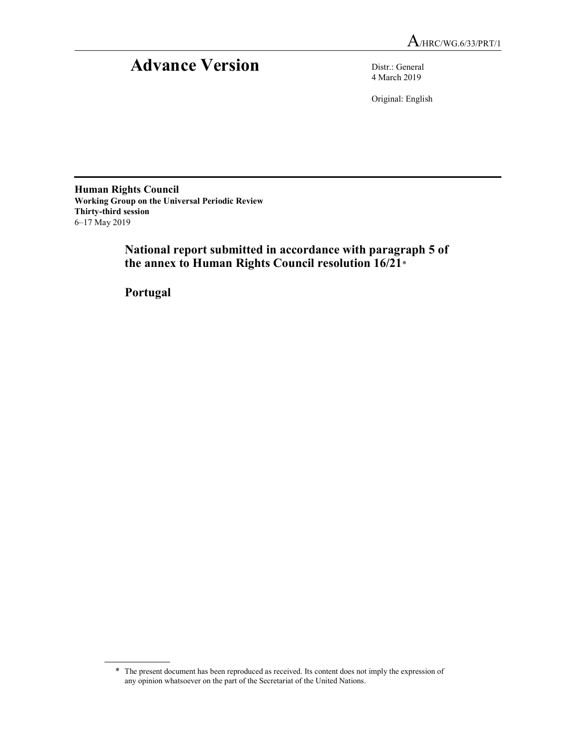# Advance Version Distr.: General

4 March 2019

Original: English

Human Rights Council Working Group on the Universal Periodic Review Thirty-third session 6–17 May 2019

 National report submitted in accordance with paragraph 5 of the annex to Human Rights Council resolution 16/21\*

Portugal

<sup>\*</sup> The present document has been reproduced as received. Its content does not imply the expression of any opinion whatsoever on the part of the Secretariat of the United Nations.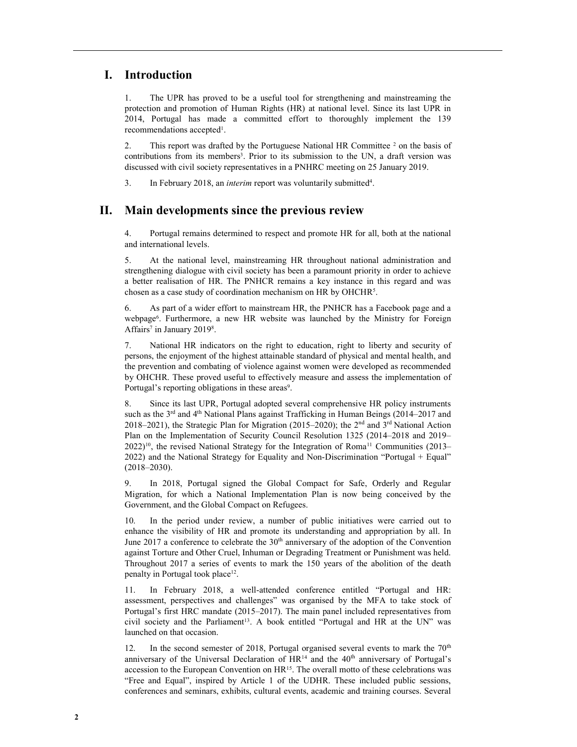# I. Introduction

1. The UPR has proved to be a useful tool for strengthening and mainstreaming the protection and promotion of Human Rights (HR) at national level. Since its last UPR in 2014, Portugal has made a committed effort to thoroughly implement the 139 recommendations accepted<sup>1</sup>.

2. This report was drafted by the Portuguese National HR Committee  $2$  on the basis of contributions from its members<sup>3</sup>. Prior to its submission to the UN, a draft version was discussed with civil society representatives in a PNHRC meeting on 25 January 2019.

3. In February 2018, an *interim* report was voluntarily submitted<sup>4</sup>.

# II. Main developments since the previous review

4. Portugal remains determined to respect and promote HR for all, both at the national and international levels.

5. At the national level, mainstreaming HR throughout national administration and strengthening dialogue with civil society has been a paramount priority in order to achieve a better realisation of HR. The PNHCR remains a key instance in this regard and was chosen as a case study of coordination mechanism on HR by OHCHR<sup>5</sup> .

6. As part of a wider effort to mainstream HR, the PNHCR has a Facebook page and a webpage<sup>6</sup>. Furthermore, a new HR website was launched by the Ministry for Foreign Affairs<sup>7</sup> in January 2019<sup>8</sup>.

7. National HR indicators on the right to education, right to liberty and security of persons, the enjoyment of the highest attainable standard of physical and mental health, and the prevention and combating of violence against women were developed as recommended by OHCHR. These proved useful to effectively measure and assess the implementation of Portugal's reporting obligations in these areas<sup>9</sup>.

8. Since its last UPR, Portugal adopted several comprehensive HR policy instruments such as the  $3<sup>rd</sup>$  and  $4<sup>th</sup>$  National Plans against Trafficking in Human Beings (2014–2017 and 2018–2021), the Strategic Plan for Migration (2015–2020); the 2<sup>nd</sup> and 3<sup>rd</sup> National Action Plan on the Implementation of Security Council Resolution 1325 (2014–2018 and 2019– 2022)<sup>10</sup>, the revised National Strategy for the Integration of Roma<sup>11</sup> Communities (2013– 2022) and the National Strategy for Equality and Non-Discrimination "Portugal + Equal" (2018–2030).

9. In 2018, Portugal signed the Global Compact for Safe, Orderly and Regular Migration, for which a National Implementation Plan is now being conceived by the Government, and the Global Compact on Refugees.

10. In the period under review, a number of public initiatives were carried out to enhance the visibility of HR and promote its understanding and appropriation by all. In June 2017 a conference to celebrate the 30<sup>th</sup> anniversary of the adoption of the Convention against Torture and Other Cruel, Inhuman or Degrading Treatment or Punishment was held. Throughout 2017 a series of events to mark the 150 years of the abolition of the death penalty in Portugal took place<sup>12</sup>.

11. In February 2018, a well-attended conference entitled "Portugal and HR: assessment, perspectives and challenges" was organised by the MFA to take stock of Portugal's first HRC mandate (2015–2017). The main panel included representatives from civil society and the Parliament<sup>13</sup>. A book entitled "Portugal and HR at the UN" was launched on that occasion.

12. In the second semester of 2018, Portugal organised several events to mark the 70<sup>th</sup> anniversary of the Universal Declaration of  $HR^{14}$  and the  $40<sup>th</sup>$  anniversary of Portugal's accession to the European Convention on HR<sup>15</sup>. The overall motto of these celebrations was "Free and Equal", inspired by Article 1 of the UDHR. These included public sessions, conferences and seminars, exhibits, cultural events, academic and training courses. Several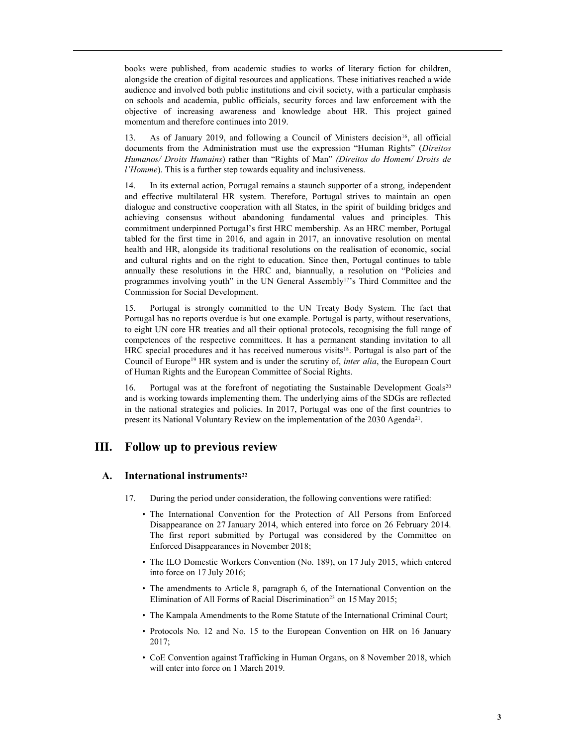books were published, from academic studies to works of literary fiction for children, alongside the creation of digital resources and applications. These initiatives reached a wide audience and involved both public institutions and civil society, with a particular emphasis on schools and academia, public officials, security forces and law enforcement with the objective of increasing awareness and knowledge about HR. This project gained momentum and therefore continues into 2019.

13. As of January 2019, and following a Council of Ministers decision<sup>16</sup>, all official documents from the Administration must use the expression "Human Rights" (Direitos Humanos/ Droits Humains) rather than "Rights of Man" (Direitos do Homem/ Droits de l'Homme). This is a further step towards equality and inclusiveness.

14. In its external action, Portugal remains a staunch supporter of a strong, independent and effective multilateral HR system. Therefore, Portugal strives to maintain an open dialogue and constructive cooperation with all States, in the spirit of building bridges and achieving consensus without abandoning fundamental values and principles. This commitment underpinned Portugal's first HRC membership. As an HRC member, Portugal tabled for the first time in 2016, and again in 2017, an innovative resolution on mental health and HR, alongside its traditional resolutions on the realisation of economic, social and cultural rights and on the right to education. Since then, Portugal continues to table annually these resolutions in the HRC and, biannually, a resolution on "Policies and programmes involving youth" in the UN General Assembly<sup>17</sup>'s Third Committee and the Commission for Social Development.

15. Portugal is strongly committed to the UN Treaty Body System. The fact that Portugal has no reports overdue is but one example. Portugal is party, without reservations, to eight UN core HR treaties and all their optional protocols, recognising the full range of competences of the respective committees. It has a permanent standing invitation to all HRC special procedures and it has received numerous visits<sup>18</sup>. Portugal is also part of the Council of Europe<sup>19</sup> HR system and is under the scrutiny of, *inter alia*, the European Court of Human Rights and the European Committee of Social Rights.

16. Portugal was at the forefront of negotiating the Sustainable Development Goals<sup>20</sup> and is working towards implementing them. The underlying aims of the SDGs are reflected in the national strategies and policies. In 2017, Portugal was one of the first countries to present its National Voluntary Review on the implementation of the 2030 Agenda<sup>21</sup>.

# III. Follow up to previous review

# $A.$  International instruments<sup>22</sup>

- 17. During the period under consideration, the following conventions were ratified:
	- The International Convention for the Protection of All Persons from Enforced Disappearance on 27 January 2014, which entered into force on 26 February 2014. The first report submitted by Portugal was considered by the Committee on Enforced Disappearances in November 2018;
	- The ILO Domestic Workers Convention (No. 189), on 17 July 2015, which entered into force on 17 July 2016;
	- The amendments to Article 8, paragraph 6, of the International Convention on the Elimination of All Forms of Racial Discrimination<sup>23</sup> on 15 May 2015;
	- The Kampala Amendments to the Rome Statute of the International Criminal Court;
	- Protocols No. 12 and No. 15 to the European Convention on HR on 16 January 2017;
	- CoE Convention against Trafficking in Human Organs, on 8 November 2018, which will enter into force on 1 March 2019.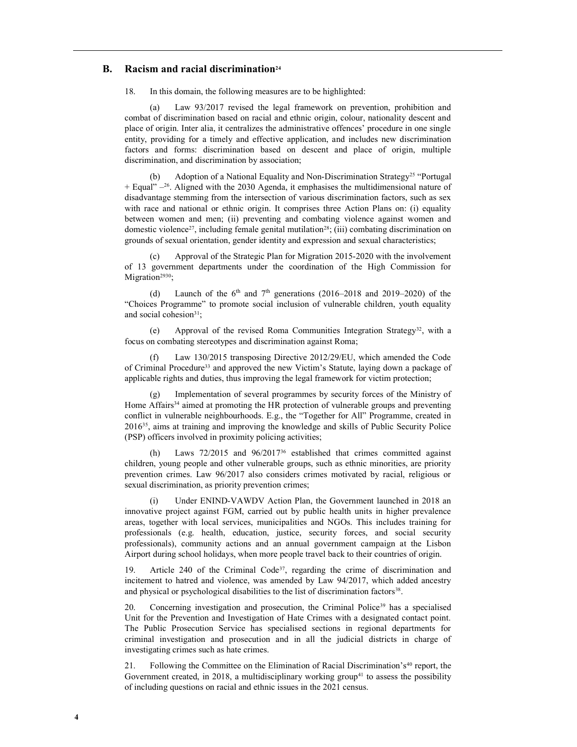# B. Racism and racial discrimination<sup>24</sup>

18. In this domain, the following measures are to be highlighted:

(a) Law 93/2017 revised the legal framework on prevention, prohibition and combat of discrimination based on racial and ethnic origin, colour, nationality descent and place of origin. Inter alia, it centralizes the administrative offences' procedure in one single entity, providing for a timely and effective application, and includes new discrimination factors and forms: discrimination based on descent and place of origin, multiple discrimination, and discrimination by association;

Adoption of a National Equality and Non-Discrimination Strategy<sup>25</sup> "Portugal  $+$  Equal"  $-26$ . Aligned with the 2030 Agenda, it emphasises the multidimensional nature of disadvantage stemming from the intersection of various discrimination factors, such as sex with race and national or ethnic origin. It comprises three Action Plans on: (i) equality between women and men; (ii) preventing and combating violence against women and domestic violence<sup>27</sup>, including female genital mutilation<sup>28</sup>; (iii) combating discrimination on grounds of sexual orientation, gender identity and expression and sexual characteristics;

(c) Approval of the Strategic Plan for Migration 2015-2020 with the involvement of 13 government departments under the coordination of the High Commission for Migration<sup>2930</sup>;

(d) Launch of the  $6<sup>th</sup>$  and  $7<sup>th</sup>$  generations (2016–2018 and 2019–2020) of the "Choices Programme" to promote social inclusion of vulnerable children, youth equality and social cohesion<sup>31</sup>;

(e) Approval of the revised Roma Communities Integration Strategy32, with a focus on combating stereotypes and discrimination against Roma;

(f) Law 130/2015 transposing Directive 2012/29/EU, which amended the Code of Criminal Procedure<sup>33</sup> and approved the new Victim's Statute, laying down a package of applicable rights and duties, thus improving the legal framework for victim protection;

Implementation of several programmes by security forces of the Ministry of Home Affairs<sup>34</sup> aimed at promoting the HR protection of vulnerable groups and preventing conflict in vulnerable neighbourhoods. E.g., the "Together for All" Programme, created in 201635, aims at training and improving the knowledge and skills of Public Security Police (PSP) officers involved in proximity policing activities;

Laws  $72/2015$  and  $96/2017^{36}$  established that crimes committed against children, young people and other vulnerable groups, such as ethnic minorities, are priority prevention crimes. Law 96/2017 also considers crimes motivated by racial, religious or sexual discrimination, as priority prevention crimes;

(i) Under ENIND-VAWDV Action Plan, the Government launched in 2018 an innovative project against FGM, carried out by public health units in higher prevalence areas, together with local services, municipalities and NGOs. This includes training for professionals (e.g. health, education, justice, security forces, and social security professionals), community actions and an annual government campaign at the Lisbon Airport during school holidays, when more people travel back to their countries of origin.

Article 240 of the Criminal Code<sup>37</sup>, regarding the crime of discrimination and incitement to hatred and violence, was amended by Law 94/2017, which added ancestry and physical or psychological disabilities to the list of discrimination factors<sup>38</sup>.

20. Concerning investigation and prosecution, the Criminal Police<sup>39</sup> has a specialised Unit for the Prevention and Investigation of Hate Crimes with a designated contact point. The Public Prosecution Service has specialised sections in regional departments for criminal investigation and prosecution and in all the judicial districts in charge of investigating crimes such as hate crimes.

21. Following the Committee on the Elimination of Racial Discrimination's<sup>40</sup> report, the Government created, in 2018, a multidisciplinary working group<sup>41</sup> to assess the possibility of including questions on racial and ethnic issues in the 2021 census.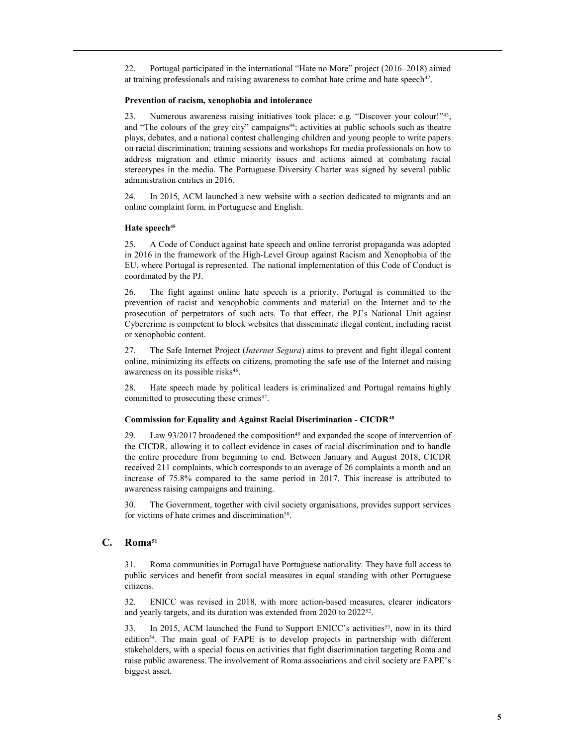22. Portugal participated in the international "Hate no More" project (2016–2018) aimed at training professionals and raising awareness to combat hate crime and hate speech<sup>42</sup>.

#### Prevention of racism, xenophobia and intolerance

23. Numerous awareness raising initiatives took place: e.g. "Discover your colour!"<sup>43</sup> , and "The colours of the grey city" campaigns<sup>44</sup>; activities at public schools such as theatre plays, debates, and a national contest challenging children and young people to write papers on racial discrimination; training sessions and workshops for media professionals on how to address migration and ethnic minority issues and actions aimed at combating racial stereotypes in the media. The Portuguese Diversity Charter was signed by several public administration entities in 2016.

24. In 2015, ACM launched a new website with a section dedicated to migrants and an online complaint form, in Portuguese and English.

# Hate speech<sup>45</sup>

25. A Code of Conduct against hate speech and online terrorist propaganda was adopted in 2016 in the framework of the High-Level Group against Racism and Xenophobia of the EU, where Portugal is represented. The national implementation of this Code of Conduct is coordinated by the PJ.

26. The fight against online hate speech is a priority. Portugal is committed to the prevention of racist and xenophobic comments and material on the Internet and to the prosecution of perpetrators of such acts. To that effect, the PJ's National Unit against Cybercrime is competent to block websites that disseminate illegal content, including racist or xenophobic content.

27. The Safe Internet Project *(Internet Segura)* aims to prevent and fight illegal content online, minimizing its effects on citizens, promoting the safe use of the Internet and raising awareness on its possible risks<sup>46</sup>.

28. Hate speech made by political leaders is criminalized and Portugal remains highly committed to prosecuting these crimes<sup>47</sup>.

#### Commission for Equality and Against Racial Discrimination - CICDR<sup>48</sup>

29. Law 93/2017 broadened the composition<sup>49</sup> and expanded the scope of intervention of the CICDR, allowing it to collect evidence in cases of racial discrimination and to handle the entire procedure from beginning to end. Between January and August 2018, CICDR received 211 complaints, which corresponds to an average of 26 complaints a month and an increase of 75.8% compared to the same period in 2017. This increase is attributed to awareness raising campaigns and training.

30. The Government, together with civil society organisations, provides support services for victims of hate crimes and discrimination<sup>50</sup>.

# C. Roma<sup>51</sup>

31. Roma communities in Portugal have Portuguese nationality. They have full access to public services and benefit from social measures in equal standing with other Portuguese citizens.

32. ENICC was revised in 2018, with more action-based measures, clearer indicators and yearly targets, and its duration was extended from 2020 to 2022<sup>52</sup> .

33. In 2015, ACM launched the Fund to Support ENICC's activities<sup>53</sup>, now in its third edition54. The main goal of FAPE is to develop projects in partnership with different stakeholders, with a special focus on activities that fight discrimination targeting Roma and raise public awareness. The involvement of Roma associations and civil society are FAPE's biggest asset.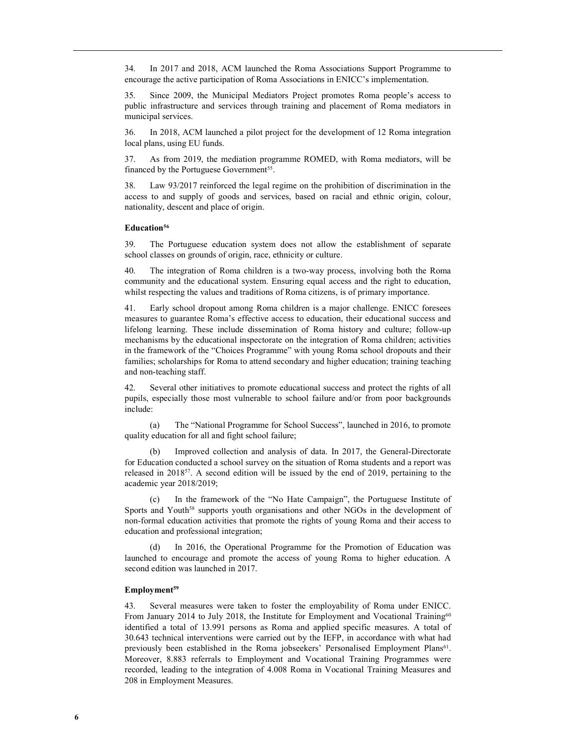34. In 2017 and 2018, ACM launched the Roma Associations Support Programme to encourage the active participation of Roma Associations in ENICC's implementation.

35. Since 2009, the Municipal Mediators Project promotes Roma people's access to public infrastructure and services through training and placement of Roma mediators in municipal services.

36. In 2018, ACM launched a pilot project for the development of 12 Roma integration local plans, using EU funds.

37. As from 2019, the mediation programme ROMED, with Roma mediators, will be financed by the Portuguese Government<sup>55</sup>.

38. Law 93/2017 reinforced the legal regime on the prohibition of discrimination in the access to and supply of goods and services, based on racial and ethnic origin, colour, nationality, descent and place of origin.

# Education<sup>56</sup>

39. The Portuguese education system does not allow the establishment of separate school classes on grounds of origin, race, ethnicity or culture.

40. The integration of Roma children is a two-way process, involving both the Roma community and the educational system. Ensuring equal access and the right to education, whilst respecting the values and traditions of Roma citizens, is of primary importance.

41. Early school dropout among Roma children is a major challenge. ENICC foresees measures to guarantee Roma's effective access to education, their educational success and lifelong learning. These include dissemination of Roma history and culture; follow-up mechanisms by the educational inspectorate on the integration of Roma children; activities in the framework of the "Choices Programme" with young Roma school dropouts and their families; scholarships for Roma to attend secondary and higher education; training teaching and non-teaching staff.

42. Several other initiatives to promote educational success and protect the rights of all pupils, especially those most vulnerable to school failure and/or from poor backgrounds include:

(a) The "National Programme for School Success", launched in 2016, to promote quality education for all and fight school failure;

(b) Improved collection and analysis of data. In 2017, the General-Directorate for Education conducted a school survey on the situation of Roma students and a report was released in 201857. A second edition will be issued by the end of 2019, pertaining to the academic year 2018/2019;

(c) In the framework of the "No Hate Campaign", the Portuguese Institute of Sports and Youth<sup>58</sup> supports youth organisations and other NGOs in the development of non-formal education activities that promote the rights of young Roma and their access to education and professional integration;

In 2016, the Operational Programme for the Promotion of Education was launched to encourage and promote the access of young Roma to higher education. A second edition was launched in 2017.

#### Employment<sup>59</sup>

43. Several measures were taken to foster the employability of Roma under ENICC. From January 2014 to July 2018, the Institute for Employment and Vocational Training<sup>60</sup> identified a total of 13.991 persons as Roma and applied specific measures. A total of 30.643 technical interventions were carried out by the IEFP, in accordance with what had previously been established in the Roma jobseekers' Personalised Employment Plans<sup>61</sup>. Moreover, 8.883 referrals to Employment and Vocational Training Programmes were recorded, leading to the integration of 4.008 Roma in Vocational Training Measures and 208 in Employment Measures.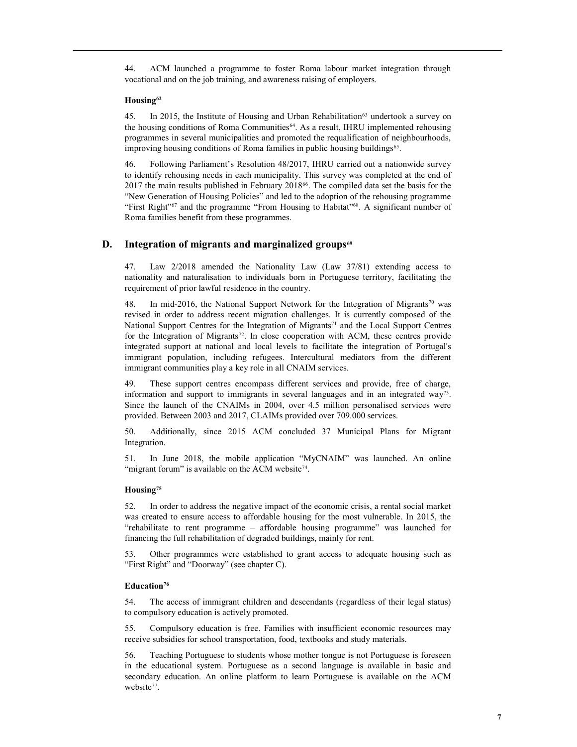44. ACM launched a programme to foster Roma labour market integration through vocational and on the job training, and awareness raising of employers.

#### Housing<sup>62</sup>

45. In 2015, the Institute of Housing and Urban Rehabilitation<sup>63</sup> undertook a survey on the housing conditions of Roma Communities64. As a result, IHRU implemented rehousing programmes in several municipalities and promoted the requalification of neighbourhoods, improving housing conditions of Roma families in public housing buildings<sup>65</sup>.

46. Following Parliament's Resolution 48/2017, IHRU carried out a nationwide survey to identify rehousing needs in each municipality. This survey was completed at the end of 2017 the main results published in February 201866. The compiled data set the basis for the "New Generation of Housing Policies" and led to the adoption of the rehousing programme "First Right"<sup>67</sup> and the programme "From Housing to Habitat"<sup>68</sup>. A significant number of Roma families benefit from these programmes.

# D. Integration of migrants and marginalized groups<sup>69</sup>

47. Law 2/2018 amended the Nationality Law (Law 37/81) extending access to nationality and naturalisation to individuals born in Portuguese territory, facilitating the requirement of prior lawful residence in the country.

48. In mid-2016, the National Support Network for the Integration of Migrants<sup>70</sup> was revised in order to address recent migration challenges. It is currently composed of the National Support Centres for the Integration of Migrants<sup>71</sup> and the Local Support Centres for the Integration of Migrants<sup>72</sup>. In close cooperation with ACM, these centres provide integrated support at national and local levels to facilitate the integration of Portugal's immigrant population, including refugees. Intercultural mediators from the different immigrant communities play a key role in all CNAIM services.

49. These support centres encompass different services and provide, free of charge, information and support to immigrants in several languages and in an integrated  $way^3$ . Since the launch of the CNAIMs in 2004, over 4.5 million personalised services were provided. Between 2003 and 2017, CLAIMs provided over 709.000 services.

50. Additionally, since 2015 ACM concluded 37 Municipal Plans for Migrant Integration.

51. In June 2018, the mobile application "MyCNAIM" was launched. An online "migrant forum" is available on the ACM website<sup>74</sup>.

#### Housing<sup>75</sup>

52. In order to address the negative impact of the economic crisis, a rental social market was created to ensure access to affordable housing for the most vulnerable. In 2015, the "rehabilitate to rent programme – affordable housing programme" was launched for financing the full rehabilitation of degraded buildings, mainly for rent.

53. Other programmes were established to grant access to adequate housing such as "First Right" and "Doorway" (see chapter C).

# Education<sup>76</sup>

54. The access of immigrant children and descendants (regardless of their legal status) to compulsory education is actively promoted.

55. Compulsory education is free. Families with insufficient economic resources may receive subsidies for school transportation, food, textbooks and study materials.

56. Teaching Portuguese to students whose mother tongue is not Portuguese is foreseen in the educational system. Portuguese as a second language is available in basic and secondary education. An online platform to learn Portuguese is available on the ACM website<sup>77</sup>.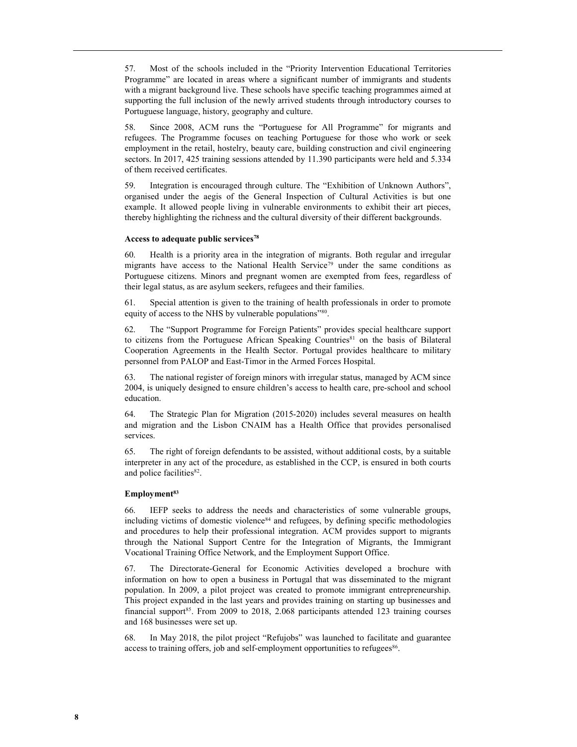57. Most of the schools included in the "Priority Intervention Educational Territories Programme" are located in areas where a significant number of immigrants and students with a migrant background live. These schools have specific teaching programmes aimed at supporting the full inclusion of the newly arrived students through introductory courses to Portuguese language, history, geography and culture.

58. Since 2008, ACM runs the "Portuguese for All Programme" for migrants and refugees. The Programme focuses on teaching Portuguese for those who work or seek employment in the retail, hostelry, beauty care, building construction and civil engineering sectors. In 2017, 425 training sessions attended by 11.390 participants were held and 5.334 of them received certificates.

59. Integration is encouraged through culture. The "Exhibition of Unknown Authors", organised under the aegis of the General Inspection of Cultural Activities is but one example. It allowed people living in vulnerable environments to exhibit their art pieces, thereby highlighting the richness and the cultural diversity of their different backgrounds.

#### Access to adequate public services<sup>78</sup>

60. Health is a priority area in the integration of migrants. Both regular and irregular migrants have access to the National Health Service<sup>79</sup> under the same conditions as Portuguese citizens. Minors and pregnant women are exempted from fees, regardless of their legal status, as are asylum seekers, refugees and their families.

61. Special attention is given to the training of health professionals in order to promote equity of access to the NHS by vulnerable populations"<sup>80</sup>.

62. The "Support Programme for Foreign Patients" provides special healthcare support to citizens from the Portuguese African Speaking Countries<sup>81</sup> on the basis of Bilateral Cooperation Agreements in the Health Sector. Portugal provides healthcare to military personnel from PALOP and East-Timor in the Armed Forces Hospital.

63. The national register of foreign minors with irregular status, managed by ACM since 2004, is uniquely designed to ensure children's access to health care, pre-school and school education.

64. The Strategic Plan for Migration (2015-2020) includes several measures on health and migration and the Lisbon CNAIM has a Health Office that provides personalised services.

65. The right of foreign defendants to be assisted, without additional costs, by a suitable interpreter in any act of the procedure, as established in the CCP, is ensured in both courts and police facilities<sup>82</sup>.

#### Employment<sup>83</sup>

66. IEFP seeks to address the needs and characteristics of some vulnerable groups, including victims of domestic violence<sup>84</sup> and refugees, by defining specific methodologies and procedures to help their professional integration. ACM provides support to migrants through the National Support Centre for the Integration of Migrants, the Immigrant Vocational Training Office Network, and the Employment Support Office.

67. The Directorate-General for Economic Activities developed a brochure with information on how to open a business in Portugal that was disseminated to the migrant population. In 2009, a pilot project was created to promote immigrant entrepreneurship. This project expanded in the last years and provides training on starting up businesses and financial support<sup>85</sup>. From 2009 to 2018, 2.068 participants attended 123 training courses and 168 businesses were set up.

68. In May 2018, the pilot project "Refujobs" was launched to facilitate and guarantee access to training offers, job and self-employment opportunities to refugees<sup>86</sup>.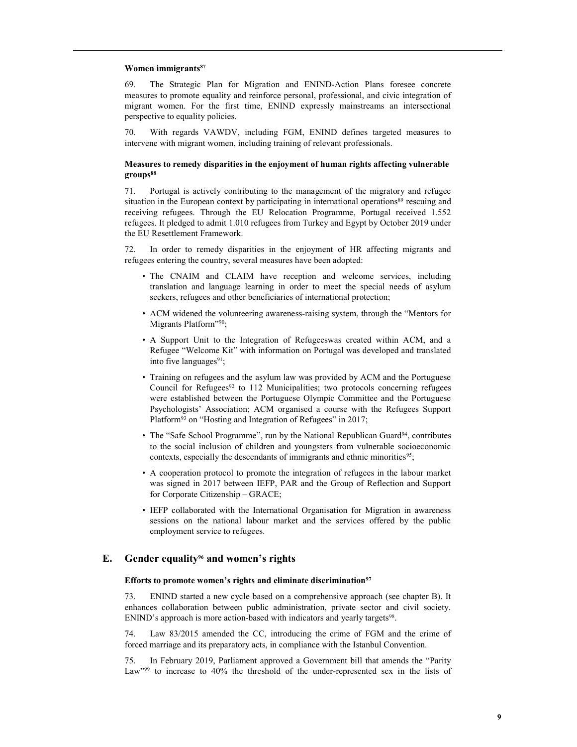#### Women immigrants<sup>87</sup>

69. The Strategic Plan for Migration and ENIND-Action Plans foresee concrete measures to promote equality and reinforce personal, professional, and civic integration of migrant women. For the first time, ENIND expressly mainstreams an intersectional perspective to equality policies.

70. With regards VAWDV, including FGM, ENIND defines targeted measures to intervene with migrant women, including training of relevant professionals.

#### Measures to remedy disparities in the enjoyment of human rights affecting vulnerable groups<sup>88</sup>

71. Portugal is actively contributing to the management of the migratory and refugee situation in the European context by participating in international operations<sup>89</sup> rescuing and receiving refugees. Through the EU Relocation Programme, Portugal received 1.552 refugees. It pledged to admit 1.010 refugees from Turkey and Egypt by October 2019 under the EU Resettlement Framework.

72. In order to remedy disparities in the enjoyment of HR affecting migrants and refugees entering the country, several measures have been adopted:

- The CNAIM and CLAIM have reception and welcome services, including translation and language learning in order to meet the special needs of asylum seekers, refugees and other beneficiaries of international protection;
- ACM widened the volunteering awareness-raising system, through the "Mentors for Migrants Platform"90;
- A Support Unit to the Integration of Refugeeswas created within ACM, and a Refugee "Welcome Kit" with information on Portugal was developed and translated into five languages $91$ ;
- Training on refugees and the asylum law was provided by ACM and the Portuguese Council for Refugees $92$  to 112 Municipalities; two protocols concerning refugees were established between the Portuguese Olympic Committee and the Portuguese Psychologists' Association; ACM organised a course with the Refugees Support Platform<sup>93</sup> on "Hosting and Integration of Refugees" in 2017;
- The "Safe School Programme", run by the National Republican Guard<sup>94</sup>, contributes to the social inclusion of children and youngsters from vulnerable socioeconomic contexts, especially the descendants of immigrants and ethnic minorities<sup>95</sup>;
- A cooperation protocol to promote the integration of refugees in the labour market was signed in 2017 between IEFP, PAR and the Group of Reflection and Support for Corporate Citizenship – GRACE;
- IEFP collaborated with the International Organisation for Migration in awareness sessions on the national labour market and the services offered by the public employment service to refugees.

## E. Gender equality<sup>96</sup> and women's rights

#### Efforts to promote women's rights and eliminate discrimination<sup>97</sup>

73. ENIND started a new cycle based on a comprehensive approach (see chapter B). It enhances collaboration between public administration, private sector and civil society. ENIND's approach is more action-based with indicators and yearly targets<sup>98</sup>.

74. Law 83/2015 amended the CC, introducing the crime of FGM and the crime of forced marriage and its preparatory acts, in compliance with the Istanbul Convention.

75. In February 2019, Parliament approved a Government bill that amends the "Parity Law"<sup>99</sup> to increase to 40% the threshold of the under-represented sex in the lists of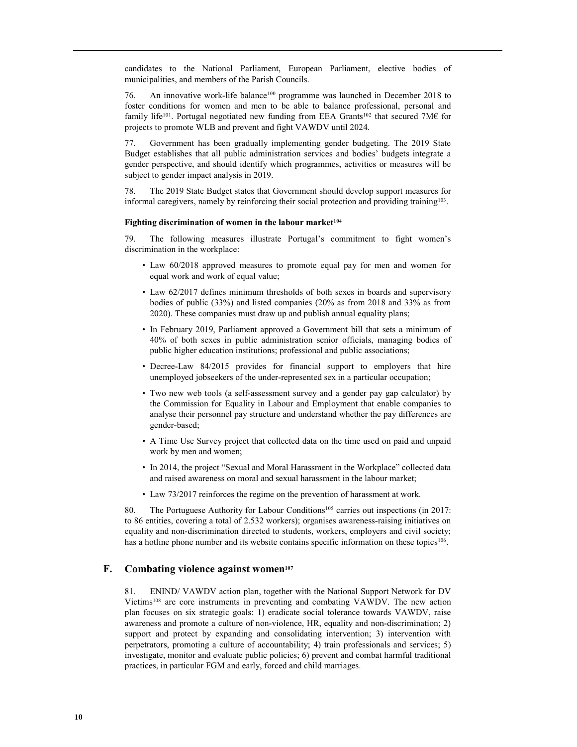candidates to the National Parliament, European Parliament, elective bodies of municipalities, and members of the Parish Councils.

76. An innovative work-life balance<sup>100</sup> programme was launched in December 2018 to foster conditions for women and men to be able to balance professional, personal and family life<sup>101</sup>. Portugal negotiated new funding from EEA Grants<sup>102</sup> that secured 7M€ for projects to promote WLB and prevent and fight VAWDV until 2024.

77. Government has been gradually implementing gender budgeting. The 2019 State Budget establishes that all public administration services and bodies' budgets integrate a gender perspective, and should identify which programmes, activities or measures will be subject to gender impact analysis in 2019.

78. The 2019 State Budget states that Government should develop support measures for informal caregivers, namely by reinforcing their social protection and providing training<sup>103</sup>.

#### Fighting discrimination of women in the labour market<sup>104</sup>

79. The following measures illustrate Portugal's commitment to fight women's discrimination in the workplace:

- Law 60/2018 approved measures to promote equal pay for men and women for equal work and work of equal value;
- Law 62/2017 defines minimum thresholds of both sexes in boards and supervisory bodies of public (33%) and listed companies (20% as from 2018 and 33% as from 2020). These companies must draw up and publish annual equality plans;
- In February 2019, Parliament approved a Government bill that sets a minimum of 40% of both sexes in public administration senior officials, managing bodies of public higher education institutions; professional and public associations;
- Decree-Law 84/2015 provides for financial support to employers that hire unemployed jobseekers of the under-represented sex in a particular occupation;
- Two new web tools (a self-assessment survey and a gender pay gap calculator) by the Commission for Equality in Labour and Employment that enable companies to analyse their personnel pay structure and understand whether the pay differences are gender-based;
- A Time Use Survey project that collected data on the time used on paid and unpaid work by men and women;
- In 2014, the project "Sexual and Moral Harassment in the Workplace" collected data and raised awareness on moral and sexual harassment in the labour market;
- Law 73/2017 reinforces the regime on the prevention of harassment at work.

80. The Portuguese Authority for Labour Conditions<sup>105</sup> carries out inspections (in 2017: to 86 entities, covering a total of 2.532 workers); organises awareness-raising initiatives on equality and non-discrimination directed to students, workers, employers and civil society; has a hotline phone number and its website contains specific information on these topics<sup>106</sup>.

#### F. Combating violence against women $107$

81. ENIND/ VAWDV action plan, together with the National Support Network for DV Victims<sup>108</sup> are core instruments in preventing and combating VAWDV. The new action plan focuses on six strategic goals: 1) eradicate social tolerance towards VAWDV, raise awareness and promote a culture of non-violence, HR, equality and non-discrimination; 2) support and protect by expanding and consolidating intervention; 3) intervention with perpetrators, promoting a culture of accountability; 4) train professionals and services; 5) investigate, monitor and evaluate public policies; 6) prevent and combat harmful traditional practices, in particular FGM and early, forced and child marriages.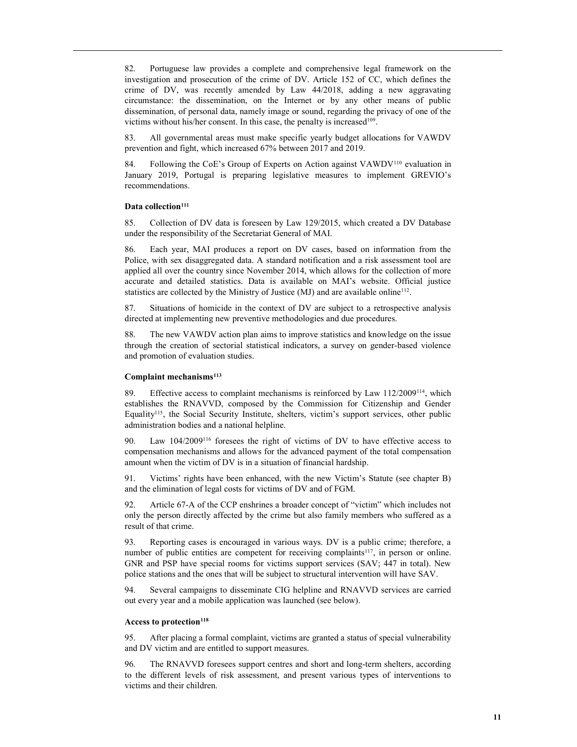82. Portuguese law provides a complete and comprehensive legal framework on the investigation and prosecution of the crime of DV. Article 152 of CC, which defines the crime of DV, was recently amended by Law 44/2018, adding a new aggravating circumstance: the dissemination, on the Internet or by any other means of public dissemination, of personal data, namely image or sound, regarding the privacy of one of the victims without his/her consent. In this case, the penalty is increased<sup>109</sup>.

83. All governmental areas must make specific yearly budget allocations for VAWDV prevention and fight, which increased 67% between 2017 and 2019.

84. Following the CoE's Group of Experts on Action against VAWDV110 evaluation in January 2019, Portugal is preparing legislative measures to implement GREVIO's recommendations.

#### Data collection<sup>111</sup>

85. Collection of DV data is foreseen by Law 129/2015, which created a DV Database under the responsibility of the Secretariat General of MAI.

86. Each year, MAI produces a report on DV cases, based on information from the Police, with sex disaggregated data. A standard notification and a risk assessment tool are applied all over the country since November 2014, which allows for the collection of more accurate and detailed statistics. Data is available on MAI's website. Official justice statistics are collected by the Ministry of Justice  $(MJ)$  and are available online<sup>112</sup>.

87. Situations of homicide in the context of DV are subject to a retrospective analysis directed at implementing new preventive methodologies and due procedures.

88. The new VAWDV action plan aims to improve statistics and knowledge on the issue through the creation of sectorial statistical indicators, a survey on gender-based violence and promotion of evaluation studies.

#### Complaint mechanisms $113$

89. Effective access to complaint mechanisms is reinforced by Law  $112/2009^{114}$ , which establishes the RNAVVD, composed by the Commission for Citizenship and Gender Equality<sup>115</sup>, the Social Security Institute, shelters, victim's support services, other public administration bodies and a national helpline.

90. Law 104/2009116 foresees the right of victims of DV to have effective access to compensation mechanisms and allows for the advanced payment of the total compensation amount when the victim of DV is in a situation of financial hardship.

91. Victims' rights have been enhanced, with the new Victim's Statute (see chapter B) and the elimination of legal costs for victims of DV and of FGM.

92. Article 67-A of the CCP enshrines a broader concept of "victim" which includes not only the person directly affected by the crime but also family members who suffered as a result of that crime.

93. Reporting cases is encouraged in various ways. DV is a public crime; therefore, a number of public entities are competent for receiving complaints<sup>117</sup>, in person or online. GNR and PSP have special rooms for victims support services (SAV; 447 in total). New police stations and the ones that will be subject to structural intervention will have SAV.

94. Several campaigns to disseminate CIG helpline and RNAVVD services are carried out every year and a mobile application was launched (see below).

#### Access to protection<sup>118</sup>

95. After placing a formal complaint, victims are granted a status of special vulnerability and DV victim and are entitled to support measures.

96. The RNAVVD foresees support centres and short and long-term shelters, according to the different levels of risk assessment, and present various types of interventions to victims and their children.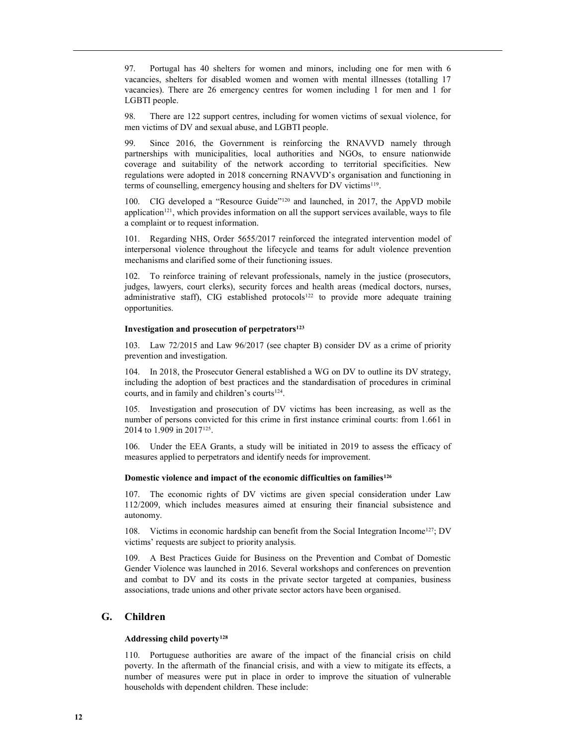97. Portugal has 40 shelters for women and minors, including one for men with 6 vacancies, shelters for disabled women and women with mental illnesses (totalling 17 vacancies). There are 26 emergency centres for women including 1 for men and 1 for LGBTI people.

98. There are 122 support centres, including for women victims of sexual violence, for men victims of DV and sexual abuse, and LGBTI people.

99. Since 2016, the Government is reinforcing the RNAVVD namely through partnerships with municipalities, local authorities and NGOs, to ensure nationwide coverage and suitability of the network according to territorial specificities. New regulations were adopted in 2018 concerning RNAVVD's organisation and functioning in terms of counselling, emergency housing and shelters for DV victims<sup>119</sup>.

100. CIG developed a "Resource Guide"120 and launched, in 2017, the AppVD mobile application<sup>121</sup>, which provides information on all the support services available, ways to file a complaint or to request information.

101. Regarding NHS, Order 5655/2017 reinforced the integrated intervention model of interpersonal violence throughout the lifecycle and teams for adult violence prevention mechanisms and clarified some of their functioning issues.

102. To reinforce training of relevant professionals, namely in the justice (prosecutors, judges, lawyers, court clerks), security forces and health areas (medical doctors, nurses, administrative staff), CIG established protocols<sup>122</sup> to provide more adequate training opportunities.

#### Investigation and prosecution of perpetrators<sup>123</sup>

103. Law 72/2015 and Law 96/2017 (see chapter B) consider DV as a crime of priority prevention and investigation.

104. In 2018, the Prosecutor General established a WG on DV to outline its DV strategy, including the adoption of best practices and the standardisation of procedures in criminal courts, and in family and children's courts<sup>124</sup>.

105. Investigation and prosecution of DV victims has been increasing, as well as the number of persons convicted for this crime in first instance criminal courts: from 1.661 in 2014 to 1.909 in 2017<sup>125</sup>.

106. Under the EEA Grants, a study will be initiated in 2019 to assess the efficacy of measures applied to perpetrators and identify needs for improvement.

#### Domestic violence and impact of the economic difficulties on families<sup>126</sup>

107. The economic rights of DV victims are given special consideration under Law 112/2009, which includes measures aimed at ensuring their financial subsistence and autonomy.

108. Victims in economic hardship can benefit from the Social Integration Income<sup>127</sup>; DV victims' requests are subject to priority analysis.

109. A Best Practices Guide for Business on the Prevention and Combat of Domestic Gender Violence was launched in 2016. Several workshops and conferences on prevention and combat to DV and its costs in the private sector targeted at companies, business associations, trade unions and other private sector actors have been organised.

# G. Children

#### Addressing child poverty<sup>128</sup>

110. Portuguese authorities are aware of the impact of the financial crisis on child poverty. In the aftermath of the financial crisis, and with a view to mitigate its effects, a number of measures were put in place in order to improve the situation of vulnerable households with dependent children. These include: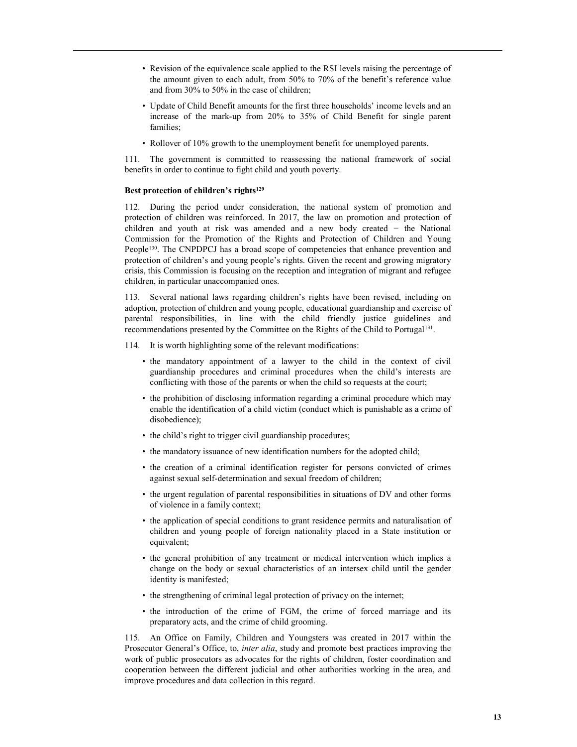- Revision of the equivalence scale applied to the RSI levels raising the percentage of the amount given to each adult, from 50% to 70% of the benefit's reference value and from 30% to 50% in the case of children;
- Update of Child Benefit amounts for the first three households' income levels and an increase of the mark-up from 20% to 35% of Child Benefit for single parent families;
- Rollover of 10% growth to the unemployment benefit for unemployed parents.

111. The government is committed to reassessing the national framework of social benefits in order to continue to fight child and youth poverty.

# Best protection of children's rights<sup>129</sup>

112. During the period under consideration, the national system of promotion and protection of children was reinforced. In 2017, the law on promotion and protection of children and youth at risk was amended and a new body created − the National Commission for the Promotion of the Rights and Protection of Children and Young People<sup>130</sup>. The CNPDPCJ has a broad scope of competencies that enhance prevention and protection of children's and young people's rights. Given the recent and growing migratory crisis, this Commission is focusing on the reception and integration of migrant and refugee children, in particular unaccompanied ones.

113. Several national laws regarding children's rights have been revised, including on adoption, protection of children and young people, educational guardianship and exercise of parental responsibilities, in line with the child friendly justice guidelines and recommendations presented by the Committee on the Rights of the Child to Portugal<sup>131</sup>.

- 114. It is worth highlighting some of the relevant modifications:
	- the mandatory appointment of a lawyer to the child in the context of civil guardianship procedures and criminal procedures when the child's interests are conflicting with those of the parents or when the child so requests at the court;
	- the prohibition of disclosing information regarding a criminal procedure which may enable the identification of a child victim (conduct which is punishable as a crime of disobedience);
	- the child's right to trigger civil guardianship procedures;
	- the mandatory issuance of new identification numbers for the adopted child;
	- the creation of a criminal identification register for persons convicted of crimes against sexual self-determination and sexual freedom of children;
	- the urgent regulation of parental responsibilities in situations of DV and other forms of violence in a family context;
	- the application of special conditions to grant residence permits and naturalisation of children and young people of foreign nationality placed in a State institution or equivalent;
	- the general prohibition of any treatment or medical intervention which implies a change on the body or sexual characteristics of an intersex child until the gender identity is manifested;
	- the strengthening of criminal legal protection of privacy on the internet;
	- the introduction of the crime of FGM, the crime of forced marriage and its preparatory acts, and the crime of child grooming.

115. An Office on Family, Children and Youngsters was created in 2017 within the Prosecutor General's Office, to, inter alia, study and promote best practices improving the work of public prosecutors as advocates for the rights of children, foster coordination and cooperation between the different judicial and other authorities working in the area, and improve procedures and data collection in this regard.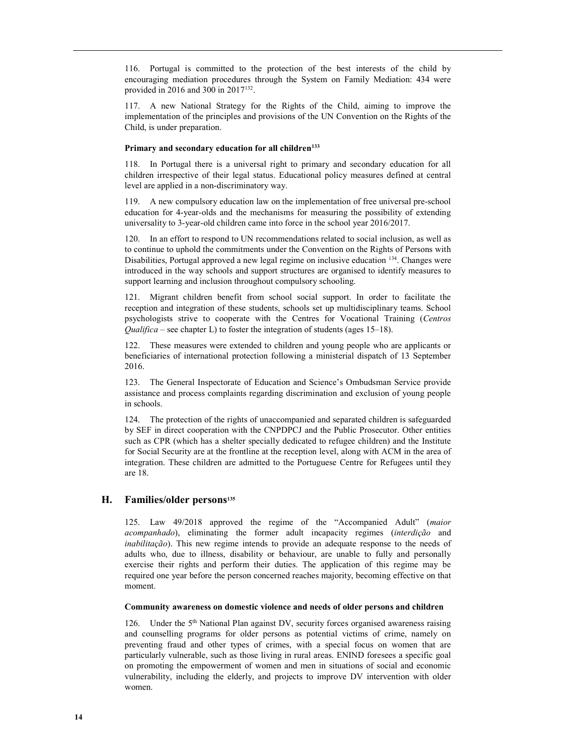116. Portugal is committed to the protection of the best interests of the child by encouraging mediation procedures through the System on Family Mediation: 434 were provided in 2016 and 300 in 2017<sup>132</sup> .

117. A new National Strategy for the Rights of the Child, aiming to improve the implementation of the principles and provisions of the UN Convention on the Rights of the Child, is under preparation.

#### Primary and secondary education for all children<sup>133</sup>

118. In Portugal there is a universal right to primary and secondary education for all children irrespective of their legal status. Educational policy measures defined at central level are applied in a non-discriminatory way.

119. A new compulsory education law on the implementation of free universal pre-school education for 4-year-olds and the mechanisms for measuring the possibility of extending universality to 3-year-old children came into force in the school year 2016/2017.

120. In an effort to respond to UN recommendations related to social inclusion, as well as to continue to uphold the commitments under the Convention on the Rights of Persons with Disabilities, Portugal approved a new legal regime on inclusive education <sup>134</sup>. Changes were introduced in the way schools and support structures are organised to identify measures to support learning and inclusion throughout compulsory schooling.

121. Migrant children benefit from school social support. In order to facilitate the reception and integration of these students, schools set up multidisciplinary teams. School psychologists strive to cooperate with the Centres for Vocational Training (Centros *Qualifica* – see chapter L) to foster the integration of students (ages 15–18).

122. These measures were extended to children and young people who are applicants or beneficiaries of international protection following a ministerial dispatch of 13 September 2016.

123. The General Inspectorate of Education and Science's Ombudsman Service provide assistance and process complaints regarding discrimination and exclusion of young people in schools.

124. The protection of the rights of unaccompanied and separated children is safeguarded by SEF in direct cooperation with the CNPDPCJ and the Public Prosecutor. Other entities such as CPR (which has a shelter specially dedicated to refugee children) and the Institute for Social Security are at the frontline at the reception level, along with ACM in the area of integration. These children are admitted to the Portuguese Centre for Refugees until they are 18.

## H. Families/older persons<sup>135</sup>

125. Law 49/2018 approved the regime of the "Accompanied Adult" (maior acompanhado), eliminating the former adult incapacity regimes (interdição and *inabilitacão*). This new regime intends to provide an adequate response to the needs of adults who, due to illness, disability or behaviour, are unable to fully and personally exercise their rights and perform their duties. The application of this regime may be required one year before the person concerned reaches majority, becoming effective on that moment.

### Community awareness on domestic violence and needs of older persons and children

126. Under the 5<sup>th</sup> National Plan against DV, security forces organised awareness raising and counselling programs for older persons as potential victims of crime, namely on preventing fraud and other types of crimes, with a special focus on women that are particularly vulnerable, such as those living in rural areas. ENIND foresees a specific goal on promoting the empowerment of women and men in situations of social and economic vulnerability, including the elderly, and projects to improve DV intervention with older women.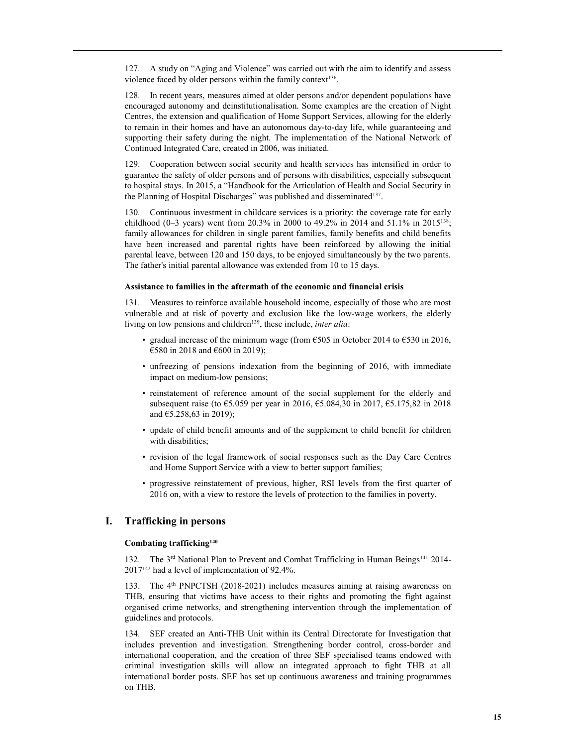127. A study on "Aging and Violence" was carried out with the aim to identify and assess violence faced by older persons within the family context<sup>136</sup>.

128. In recent years, measures aimed at older persons and/or dependent populations have encouraged autonomy and deinstitutionalisation. Some examples are the creation of Night Centres, the extension and qualification of Home Support Services, allowing for the elderly to remain in their homes and have an autonomous day-to-day life, while guaranteeing and supporting their safety during the night. The implementation of the National Network of Continued Integrated Care, created in 2006, was initiated.

129. Cooperation between social security and health services has intensified in order to guarantee the safety of older persons and of persons with disabilities, especially subsequent to hospital stays. In 2015, a "Handbook for the Articulation of Health and Social Security in the Planning of Hospital Discharges" was published and disseminated<sup>137</sup>.

130. Continuous investment in childcare services is a priority: the coverage rate for early childhood (0-3 years) went from 20.3% in 2000 to 49.2% in 2014 and 51.1% in 2015<sup>138</sup>; family allowances for children in single parent families, family benefits and child benefits have been increased and parental rights have been reinforced by allowing the initial parental leave, between 120 and 150 days, to be enjoyed simultaneously by the two parents. The father's initial parental allowance was extended from 10 to 15 days.

#### Assistance to families in the aftermath of the economic and financial crisis

131. Measures to reinforce available household income, especially of those who are most vulnerable and at risk of poverty and exclusion like the low-wage workers, the elderly living on low pensions and children<sup>139</sup>, these include, *inter alia*:

- gradual increase of the minimum wage (from  $\epsilon$ 505 in October 2014 to  $\epsilon$ 530 in 2016, €580 in 2018 and €600 in 2019);
- unfreezing of pensions indexation from the beginning of 2016, with immediate impact on medium-low pensions;
- reinstatement of reference amount of the social supplement for the elderly and subsequent raise (to €5.059 per year in 2016, €5.084,30 in 2017, €5.175,82 in 2018 and €5.258,63 in 2019);
- update of child benefit amounts and of the supplement to child benefit for children with disabilities;
- revision of the legal framework of social responses such as the Day Care Centres and Home Support Service with a view to better support families;
- progressive reinstatement of previous, higher, RSI levels from the first quarter of 2016 on, with a view to restore the levels of protection to the families in poverty.

# I. Trafficking in persons

#### Combating trafficking<sup>140</sup>

132. The 3<sup>rd</sup> National Plan to Prevent and Combat Trafficking in Human Beings<sup>141</sup> 2014-2017142 had a level of implementation of 92.4%.

133. The 4<sup>th</sup> PNPCTSH (2018-2021) includes measures aiming at raising awareness on THB, ensuring that victims have access to their rights and promoting the fight against organised crime networks, and strengthening intervention through the implementation of guidelines and protocols.

134. SEF created an Anti-THB Unit within its Central Directorate for Investigation that includes prevention and investigation. Strengthening border control, cross-border and international cooperation, and the creation of three SEF specialised teams endowed with criminal investigation skills will allow an integrated approach to fight THB at all international border posts. SEF has set up continuous awareness and training programmes on THB.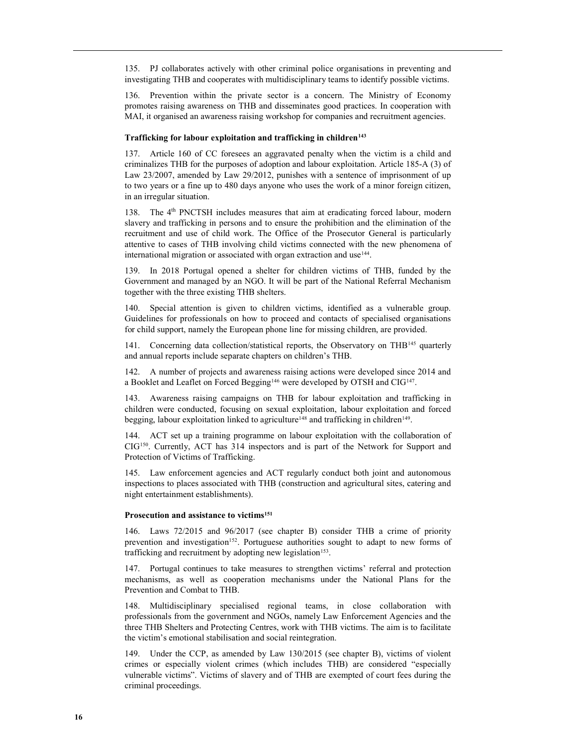135. PJ collaborates actively with other criminal police organisations in preventing and investigating THB and cooperates with multidisciplinary teams to identify possible victims.

136. Prevention within the private sector is a concern. The Ministry of Economy promotes raising awareness on THB and disseminates good practices. In cooperation with MAI, it organised an awareness raising workshop for companies and recruitment agencies.

#### Trafficking for labour exploitation and trafficking in children<sup>143</sup>

137. Article 160 of CC foresees an aggravated penalty when the victim is a child and criminalizes THB for the purposes of adoption and labour exploitation. Article 185-A (3) of Law 23/2007, amended by Law 29/2012, punishes with a sentence of imprisonment of up to two years or a fine up to 480 days anyone who uses the work of a minor foreign citizen, in an irregular situation.

138. The 4<sup>th</sup> PNCTSH includes measures that aim at eradicating forced labour, modern slavery and trafficking in persons and to ensure the prohibition and the elimination of the recruitment and use of child work. The Office of the Prosecutor General is particularly attentive to cases of THB involving child victims connected with the new phenomena of international migration or associated with organ extraction and use<sup>144</sup>.

139. In 2018 Portugal opened a shelter for children victims of THB, funded by the Government and managed by an NGO. It will be part of the National Referral Mechanism together with the three existing THB shelters.

140. Special attention is given to children victims, identified as a vulnerable group. Guidelines for professionals on how to proceed and contacts of specialised organisations for child support, namely the European phone line for missing children, are provided.

141. Concerning data collection/statistical reports, the Observatory on THB<sup>145</sup> quarterly and annual reports include separate chapters on children's THB.

142. A number of projects and awareness raising actions were developed since 2014 and a Booklet and Leaflet on Forced Begging<sup>146</sup> were developed by OTSH and CIG<sup>147</sup>.

143. Awareness raising campaigns on THB for labour exploitation and trafficking in children were conducted, focusing on sexual exploitation, labour exploitation and forced begging, labour exploitation linked to agriculture<sup>148</sup> and trafficking in children<sup>149</sup>.

144. ACT set up a training programme on labour exploitation with the collaboration of CIG150. Currently, ACT has 314 inspectors and is part of the Network for Support and Protection of Victims of Trafficking.

145. Law enforcement agencies and ACT regularly conduct both joint and autonomous inspections to places associated with THB (construction and agricultural sites, catering and night entertainment establishments).

#### Prosecution and assistance to victims<sup>151</sup>

146. Laws 72/2015 and 96/2017 (see chapter B) consider THB a crime of priority prevention and investigation<sup>152</sup>. Portuguese authorities sought to adapt to new forms of trafficking and recruitment by adopting new legislation<sup>153</sup>.

147. Portugal continues to take measures to strengthen victims' referral and protection mechanisms, as well as cooperation mechanisms under the National Plans for the Prevention and Combat to THB.

148. Multidisciplinary specialised regional teams, in close collaboration with professionals from the government and NGOs, namely Law Enforcement Agencies and the three THB Shelters and Protecting Centres, work with THB victims. The aim is to facilitate the victim's emotional stabilisation and social reintegration.

149. Under the CCP, as amended by Law 130/2015 (see chapter B), victims of violent crimes or especially violent crimes (which includes THB) are considered "especially vulnerable victims". Victims of slavery and of THB are exempted of court fees during the criminal proceedings.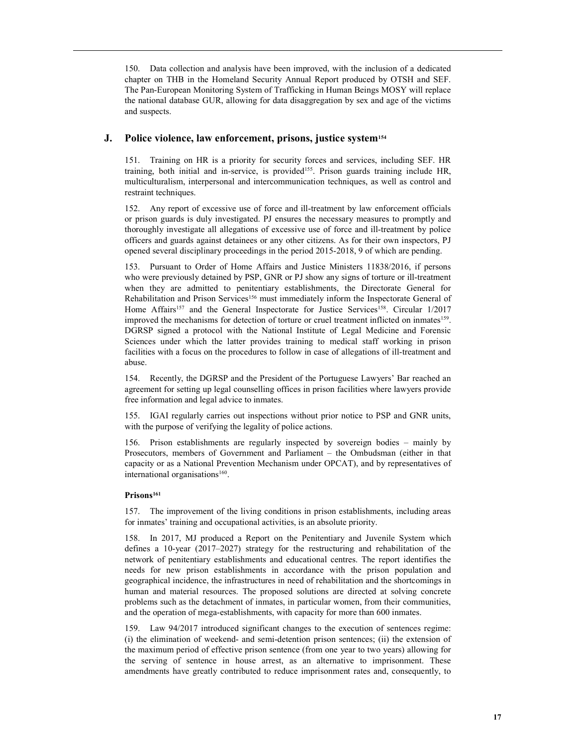150. Data collection and analysis have been improved, with the inclusion of a dedicated chapter on THB in the Homeland Security Annual Report produced by OTSH and SEF. The Pan-European Monitoring System of Trafficking in Human Beings MOSY will replace the national database GUR, allowing for data disaggregation by sex and age of the victims and suspects.

# J. Police violence, law enforcement, prisons, justice system<sup>154</sup>

151. Training on HR is a priority for security forces and services, including SEF. HR training, both initial and in-service, is provided<sup>155</sup>. Prison guards training include HR, multiculturalism, interpersonal and intercommunication techniques, as well as control and restraint techniques.

152. Any report of excessive use of force and ill-treatment by law enforcement officials or prison guards is duly investigated. PJ ensures the necessary measures to promptly and thoroughly investigate all allegations of excessive use of force and ill-treatment by police officers and guards against detainees or any other citizens. As for their own inspectors, PJ opened several disciplinary proceedings in the period 2015-2018, 9 of which are pending.

153. Pursuant to Order of Home Affairs and Justice Ministers 11838/2016, if persons who were previously detained by PSP, GNR or PJ show any signs of torture or ill-treatment when they are admitted to penitentiary establishments, the Directorate General for Rehabilitation and Prison Services<sup>156</sup> must immediately inform the Inspectorate General of Home Affairs<sup>157</sup> and the General Inspectorate for Justice Services<sup>158</sup>. Circular 1/2017 improved the mechanisms for detection of torture or cruel treatment inflicted on inmates<sup>159</sup>. DGRSP signed a protocol with the National Institute of Legal Medicine and Forensic Sciences under which the latter provides training to medical staff working in prison facilities with a focus on the procedures to follow in case of allegations of ill-treatment and abuse.

154. Recently, the DGRSP and the President of the Portuguese Lawyers' Bar reached an agreement for setting up legal counselling offices in prison facilities where lawyers provide free information and legal advice to inmates.

155. IGAI regularly carries out inspections without prior notice to PSP and GNR units, with the purpose of verifying the legality of police actions.

156. Prison establishments are regularly inspected by sovereign bodies – mainly by Prosecutors, members of Government and Parliament – the Ombudsman (either in that capacity or as a National Prevention Mechanism under OPCAT), and by representatives of international organisations<sup>160</sup>.

# Prisons<sup>161</sup>

157. The improvement of the living conditions in prison establishments, including areas for inmates' training and occupational activities, is an absolute priority.

158. In 2017, MJ produced a Report on the Penitentiary and Juvenile System which defines a 10-year (2017–2027) strategy for the restructuring and rehabilitation of the network of penitentiary establishments and educational centres. The report identifies the needs for new prison establishments in accordance with the prison population and geographical incidence, the infrastructures in need of rehabilitation and the shortcomings in human and material resources. The proposed solutions are directed at solving concrete problems such as the detachment of inmates, in particular women, from their communities, and the operation of mega-establishments, with capacity for more than 600 inmates.

159. Law 94/2017 introduced significant changes to the execution of sentences regime: (i) the elimination of weekend- and semi-detention prison sentences; (ii) the extension of the maximum period of effective prison sentence (from one year to two years) allowing for the serving of sentence in house arrest, as an alternative to imprisonment. These amendments have greatly contributed to reduce imprisonment rates and, consequently, to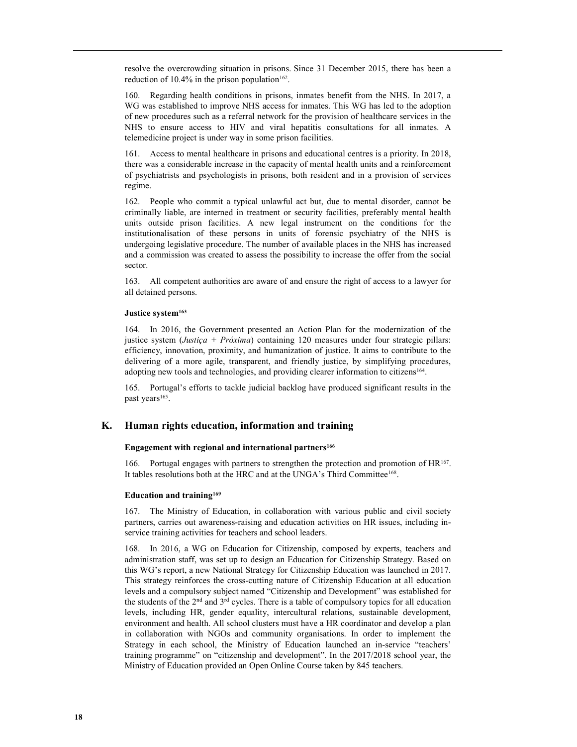resolve the overcrowding situation in prisons. Since 31 December 2015, there has been a reduction of  $10.4\%$  in the prison population<sup>162</sup>.

160. Regarding health conditions in prisons, inmates benefit from the NHS. In 2017, a WG was established to improve NHS access for inmates. This WG has led to the adoption of new procedures such as a referral network for the provision of healthcare services in the NHS to ensure access to HIV and viral hepatitis consultations for all inmates. A telemedicine project is under way in some prison facilities.

161. Access to mental healthcare in prisons and educational centres is a priority. In 2018, there was a considerable increase in the capacity of mental health units and a reinforcement of psychiatrists and psychologists in prisons, both resident and in a provision of services regime.

162. People who commit a typical unlawful act but, due to mental disorder, cannot be criminally liable, are interned in treatment or security facilities, preferably mental health units outside prison facilities. A new legal instrument on the conditions for the institutionalisation of these persons in units of forensic psychiatry of the NHS is undergoing legislative procedure. The number of available places in the NHS has increased and a commission was created to assess the possibility to increase the offer from the social sector.

163. All competent authorities are aware of and ensure the right of access to a lawyer for all detained persons.

#### Justice system<sup>163</sup>

164. In 2016, the Government presented an Action Plan for the modernization of the justice system (*Justiça + Próxima*) containing 120 measures under four strategic pillars: efficiency, innovation, proximity, and humanization of justice. It aims to contribute to the delivering of a more agile, transparent, and friendly justice, by simplifying procedures, adopting new tools and technologies, and providing clearer information to citizens<sup>164</sup>.

165. Portugal's efforts to tackle judicial backlog have produced significant results in the past years<sup>165</sup>.

# K. Human rights education, information and training

#### Engagement with regional and international partners<sup>166</sup>

166. Portugal engages with partners to strengthen the protection and promotion of  $HR^{167}$ . It tables resolutions both at the HRC and at the UNGA's Third Committee<sup>168</sup>.

#### Education and training $169$

167. The Ministry of Education, in collaboration with various public and civil society partners, carries out awareness-raising and education activities on HR issues, including inservice training activities for teachers and school leaders.

168. In 2016, a WG on Education for Citizenship, composed by experts, teachers and administration staff, was set up to design an Education for Citizenship Strategy. Based on this WG's report, a new National Strategy for Citizenship Education was launched in 2017. This strategy reinforces the cross-cutting nature of Citizenship Education at all education levels and a compulsory subject named "Citizenship and Development" was established for the students of the  $2<sup>nd</sup>$  and  $3<sup>rd</sup>$  cycles. There is a table of compulsory topics for all education levels, including HR, gender equality, intercultural relations, sustainable development, environment and health. All school clusters must have a HR coordinator and develop a plan in collaboration with NGOs and community organisations. In order to implement the Strategy in each school, the Ministry of Education launched an in-service "teachers' training programme" on "citizenship and development". In the 2017/2018 school year, the Ministry of Education provided an Open Online Course taken by 845 teachers.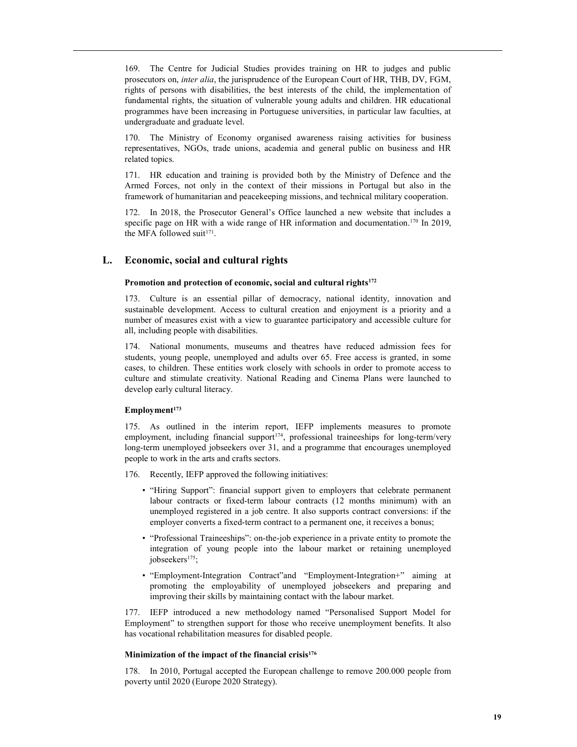169. The Centre for Judicial Studies provides training on HR to judges and public prosecutors on, inter alia, the jurisprudence of the European Court of HR, THB, DV, FGM, rights of persons with disabilities, the best interests of the child, the implementation of fundamental rights, the situation of vulnerable young adults and children. HR educational programmes have been increasing in Portuguese universities, in particular law faculties, at undergraduate and graduate level.

170. The Ministry of Economy organised awareness raising activities for business representatives, NGOs, trade unions, academia and general public on business and HR related topics.

171. HR education and training is provided both by the Ministry of Defence and the Armed Forces, not only in the context of their missions in Portugal but also in the framework of humanitarian and peacekeeping missions, and technical military cooperation.

172. In 2018, the Prosecutor General's Office launched a new website that includes a specific page on HR with a wide range of HR information and documentation.<sup>170</sup> In 2019, the MFA followed suit<sup>171</sup>.

# L. Economic, social and cultural rights

#### Promotion and protection of economic, social and cultural rights<sup>172</sup>

173. Culture is an essential pillar of democracy, national identity, innovation and sustainable development. Access to cultural creation and enjoyment is a priority and a number of measures exist with a view to guarantee participatory and accessible culture for all, including people with disabilities.

174. National monuments, museums and theatres have reduced admission fees for students, young people, unemployed and adults over 65. Free access is granted, in some cases, to children. These entities work closely with schools in order to promote access to culture and stimulate creativity. National Reading and Cinema Plans were launched to develop early cultural literacy.

# $Employment<sup>173</sup>$

175. As outlined in the interim report, IEFP implements measures to promote employment, including financial support<sup>174</sup>, professional traineeships for long-term/very long-term unemployed jobseekers over 31, and a programme that encourages unemployed people to work in the arts and crafts sectors.

- 176. Recently, IEFP approved the following initiatives:
	- "Hiring Support": financial support given to employers that celebrate permanent labour contracts or fixed-term labour contracts (12 months minimum) with an unemployed registered in a job centre. It also supports contract conversions: if the employer converts a fixed-term contract to a permanent one, it receives a bonus;
	- "Professional Traineeships": on-the-job experience in a private entity to promote the integration of young people into the labour market or retaining unemployed jobseekers<sup>175</sup>;
	- "Employment-Integration Contract"and "Employment-Integration+" aiming at promoting the employability of unemployed jobseekers and preparing and improving their skills by maintaining contact with the labour market.

177. IEFP introduced a new methodology named "Personalised Support Model for Employment" to strengthen support for those who receive unemployment benefits. It also has vocational rehabilitation measures for disabled people.

#### Minimization of the impact of the financial crisis<sup>176</sup>

178. In 2010, Portugal accepted the European challenge to remove 200.000 people from poverty until 2020 (Europe 2020 Strategy).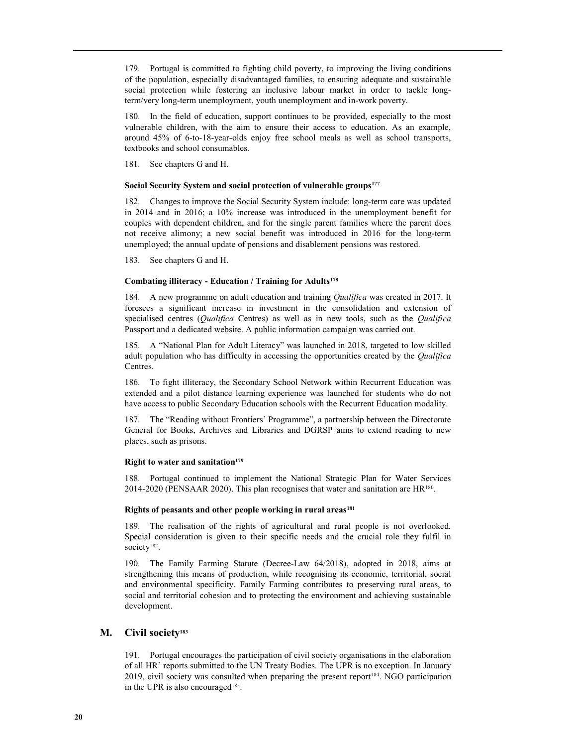179. Portugal is committed to fighting child poverty, to improving the living conditions of the population, especially disadvantaged families, to ensuring adequate and sustainable social protection while fostering an inclusive labour market in order to tackle longterm/very long-term unemployment, youth unemployment and in-work poverty.

180. In the field of education, support continues to be provided, especially to the most vulnerable children, with the aim to ensure their access to education. As an example, around 45% of 6-to-18-year-olds enjoy free school meals as well as school transports, textbooks and school consumables.

181. See chapters G and H.

#### Social Security System and social protection of vulnerable groups<sup>177</sup>

182. Changes to improve the Social Security System include: long-term care was updated in 2014 and in 2016; a 10% increase was introduced in the unemployment benefit for couples with dependent children, and for the single parent families where the parent does not receive alimony; a new social benefit was introduced in 2016 for the long-term unemployed; the annual update of pensions and disablement pensions was restored.

183. See chapters G and H.

#### Combating illiteracy - Education / Training for Adults<sup>178</sup>

184. A new programme on adult education and training *Qualifica* was created in 2017. It foresees a significant increase in investment in the consolidation and extension of specialised centres (*Qualifica* Centres) as well as in new tools, such as the *Qualifica* Passport and a dedicated website. A public information campaign was carried out.

185. A "National Plan for Adult Literacy" was launched in 2018, targeted to low skilled adult population who has difficulty in accessing the opportunities created by the *Qualifica* Centres.

186. To fight illiteracy, the Secondary School Network within Recurrent Education was extended and a pilot distance learning experience was launched for students who do not have access to public Secondary Education schools with the Recurrent Education modality.

187. The "Reading without Frontiers' Programme", a partnership between the Directorate General for Books, Archives and Libraries and DGRSP aims to extend reading to new places, such as prisons.

#### Right to water and sanitation $179$

188. Portugal continued to implement the National Strategic Plan for Water Services 2014-2020 (PENSAAR 2020). This plan recognises that water and sanitation are HR<sup>180</sup> .

#### Rights of peasants and other people working in rural areas<sup>181</sup>

189. The realisation of the rights of agricultural and rural people is not overlooked. Special consideration is given to their specific needs and the crucial role they fulfil in society<sup>182</sup>.

190. The Family Farming Statute (Decree-Law 64/2018), adopted in 2018, aims at strengthening this means of production, while recognising its economic, territorial, social and environmental specificity. Family Farming contributes to preserving rural areas, to social and territorial cohesion and to protecting the environment and achieving sustainable development.

# M. Civil society<sup>183</sup>

191. Portugal encourages the participation of civil society organisations in the elaboration of all HR' reports submitted to the UN Treaty Bodies. The UPR is no exception. In January 2019, civil society was consulted when preparing the present report<sup>184</sup>. NGO participation in the UPR is also encouraged<sup>185</sup>.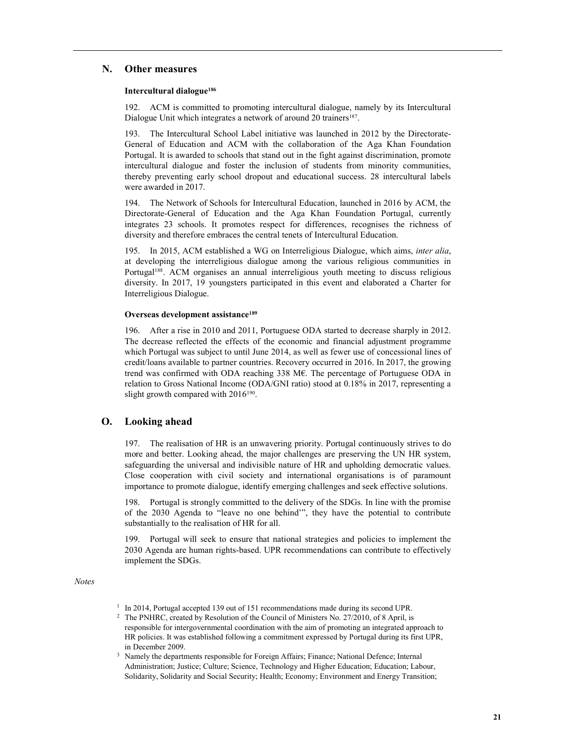# N. Other measures

#### Intercultural dialogue<sup>186</sup>

192. ACM is committed to promoting intercultural dialogue, namely by its Intercultural Dialogue Unit which integrates a network of around 20 trainers<sup>187</sup>.

193. The Intercultural School Label initiative was launched in 2012 by the Directorate-General of Education and ACM with the collaboration of the Aga Khan Foundation Portugal. It is awarded to schools that stand out in the fight against discrimination, promote intercultural dialogue and foster the inclusion of students from minority communities, thereby preventing early school dropout and educational success. 28 intercultural labels were awarded in 2017.

194. The Network of Schools for Intercultural Education, launched in 2016 by ACM, the Directorate-General of Education and the Aga Khan Foundation Portugal, currently integrates 23 schools. It promotes respect for differences, recognises the richness of diversity and therefore embraces the central tenets of Intercultural Education.

195. In 2015, ACM established a WG on Interreligious Dialogue, which aims, *inter alia*, at developing the interreligious dialogue among the various religious communities in Portugal<sup>188</sup>. ACM organises an annual interreligious youth meeting to discuss religious diversity. In 2017, 19 youngsters participated in this event and elaborated a Charter for Interreligious Dialogue.

# Overseas development assistance<sup>189</sup>

196. After a rise in 2010 and 2011, Portuguese ODA started to decrease sharply in 2012. The decrease reflected the effects of the economic and financial adjustment programme which Portugal was subject to until June 2014, as well as fewer use of concessional lines of credit/loans available to partner countries. Recovery occurred in 2016. In 2017, the growing trend was confirmed with ODA reaching 338 M€. The percentage of Portuguese ODA in relation to Gross National Income (ODA/GNI ratio) stood at 0.18% in 2017, representing a slight growth compared with  $2016^{190}$ .

# O. Looking ahead

197. The realisation of HR is an unwavering priority. Portugal continuously strives to do more and better. Looking ahead, the major challenges are preserving the UN HR system, safeguarding the universal and indivisible nature of HR and upholding democratic values. Close cooperation with civil society and international organisations is of paramount importance to promote dialogue, identify emerging challenges and seek effective solutions.

198. Portugal is strongly committed to the delivery of the SDGs. In line with the promise of the 2030 Agenda to "leave no one behind'", they have the potential to contribute substantially to the realisation of HR for all.

199. Portugal will seek to ensure that national strategies and policies to implement the 2030 Agenda are human rights-based. UPR recommendations can contribute to effectively implement the SDGs.

Notes

- <sup>1</sup> In 2014, Portugal accepted 139 out of 151 recommendations made during its second UPR.
- <sup>2</sup> The PNHRC, created by Resolution of the Council of Ministers No. 27/2010, of 8 April, is responsible for intergovernmental coordination with the aim of promoting an integrated approach to HR policies. It was established following a commitment expressed by Portugal during its first UPR, in December 2009.
- 3 Namely the departments responsible for Foreign Affairs; Finance; National Defence; Internal Administration; Justice; Culture; Science, Technology and Higher Education; Education; Labour, Solidarity, Solidarity and Social Security; Health; Economy; Environment and Energy Transition;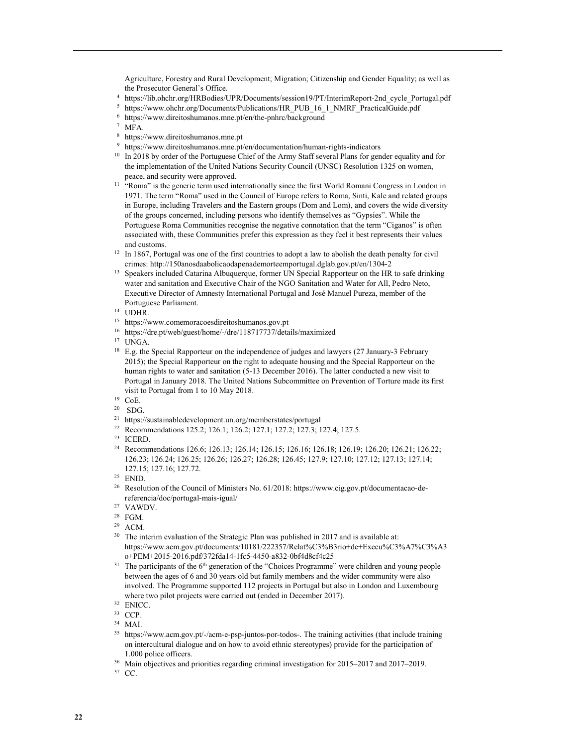Agriculture, Forestry and Rural Development; Migration; Citizenship and Gender Equality; as well as the Prosecutor General's Office.

- 4 https://lib.ohchr.org/HRBodies/UPR/Documents/session19/PT/InterimReport-2nd\_cycle\_Portugal.pdf
- <sup>5</sup> https://www.ohchr.org/Documents/Publications/HR\_PUB\_16\_1\_NMRF\_PracticalGuide.pdf
- 6 https://www.direitoshumanos.mne.pt/en/the-pnhrc/background
- 7 MFA.
- 8 https://www.direitoshumanos.mne.pt
- <sup>9</sup> https://www.direitoshumanos.mne.pt/en/documentation/human-rights-indicators
- <sup>10</sup> In 2018 by order of the Portuguese Chief of the Army Staff several Plans for gender equality and for the implementation of the United Nations Security Council (UNSC) Resolution 1325 on women, peace, and security were approved.
- <sup>11</sup> "Roma" is the generic term used internationally since the first World Romani Congress in London in 1971. The term "Roma" used in the Council of Europe refers to Roma, Sinti, Kale and related groups in Europe, including Travelers and the Eastern groups (Dom and Lom), and covers the wide diversity of the groups concerned, including persons who identify themselves as "Gypsies". While the Portuguese Roma Communities recognise the negative connotation that the term "Ciganos" is often associated with, these Communities prefer this expression as they feel it best represents their values and customs.
- <sup>12</sup> In 1867, Portugal was one of the first countries to adopt a law to abolish the death penalty for civil crimes: http://150anosdaabolicaodapenademorteemportugal.dglab.gov.pt/en/1304-2
- <sup>13</sup> Speakers included Catarina Albuquerque, former UN Special Rapporteur on the HR to safe drinking water and sanitation and Executive Chair of the NGO Sanitation and Water for All, Pedro Neto, Executive Director of Amnesty International Portugal and José Manuel Pureza, member of the Portuguese Parliament.
- <sup>14</sup> UDHR.
- <sup>15</sup> https://www.comemoracoesdireitoshumanos.gov.pt
- <sup>16</sup> https://dre.pt/web/guest/home/-/dre/118717737/details/maximized
- <sup>17</sup> UNGA.
- <sup>18</sup> E.g. the Special Rapporteur on the independence of judges and lawyers (27 January-3 February 2015); the Special Rapporteur on the right to adequate housing and the Special Rapporteur on the human rights to water and sanitation (5-13 December 2016). The latter conducted a new visit to Portugal in January 2018. The United Nations Subcommittee on Prevention of Torture made its first visit to Portugal from 1 to 10 May 2018.
- $^{19}$  CoE.<br>20 SDC
- SDG.
- <sup>21</sup> https://sustainabledevelopment.un.org/memberstates/portugal
- <sup>22</sup> Recommendations 125.2; 126.1; 126.2; 127.1; 127.2; 127.3; 127.4; 127.5.
- <sup>23</sup> ICERD.
- <sup>24</sup> Recommendations 126.6; 126.13; 126.14; 126.15; 126.16; 126.18; 126.19; 126.20; 126.21; 126.22; 126.23; 126.24; 126.25; 126.26; 126.27; 126.28; 126.45; 127.9; 127.10; 127.12; 127.13; 127.14; 127.15; 127.16; 127.72.

- 26 Resolution of the Council of Ministers No. 61/2018: https://www.cig.gov.pt/documentacao-dereferencia/doc/portugal-mais-igual/
- <sup>27</sup> VAWDV.
- <sup>28</sup> FGM.
- <sup>29</sup> ACM.
- <sup>30</sup> The interim evaluation of the Strategic Plan was published in 2017 and is available at: https://www.acm.gov.pt/documents/10181/222357/Relat%C3%B3rio+de+Execu%C3%A7%C3%A3 o+PEM+2015-2016.pdf/372fda14-1fc5-4450-a832-0bf4d8cf4c25
- <sup>31</sup> The participants of the 6<sup>th</sup> generation of the "Choices Programme" were children and young people between the ages of 6 and 30 years old but family members and the wider community were also involved. The Programme supported 112 projects in Portugal but also in London and Luxembourg where two pilot projects were carried out (ended in December 2017).

- <sup>34</sup> MAI.
- <sup>35</sup> https://www.acm.gov.pt/-/acm-e-psp-juntos-por-todos-. The training activities (that include training on intercultural dialogue and on how to avoid ethnic stereotypes) provide for the participation of 1.000 police officers.
- <sup>36</sup> Main objectives and priorities regarding criminal investigation for 2015–2017 and 2017–2019.
- 37 CC.

<sup>25</sup> ENID.

<sup>32</sup> ENICC.

<sup>33</sup> CCP.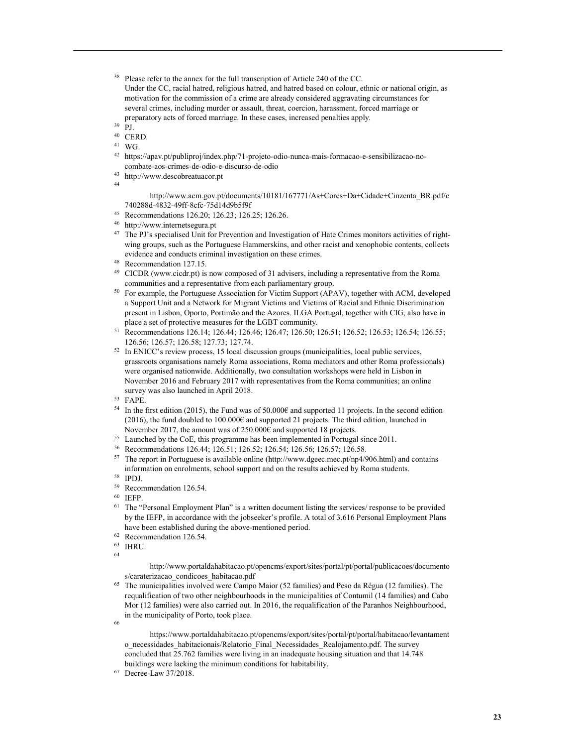- <sup>38</sup> Please refer to the annex for the full transcription of Article 240 of the CC. Under the CC, racial hatred, religious hatred, and hatred based on colour, ethnic or national origin, as motivation for the commission of a crime are already considered aggravating circumstances for several crimes, including murder or assault, threat, coercion, harassment, forced marriage or preparatory acts of forced marriage. In these cases, increased penalties apply.
	-
- $39$  PJ.
- <sup>40</sup> CERD.
- <sup>41</sup> WG.
- 42 https://apav.pt/publiproj/index.php/71-projeto-odio-nunca-mais-formacao-e-sensibilizacao-nocombate-aos-crimes-de-odio-e-discurso-de-odio
- <sup>43</sup> http://www.descobreatuacor.pt

44

 http://www.acm.gov.pt/documents/10181/167771/As+Cores+Da+Cidade+Cinzenta\_BR.pdf/c 740288d-4832-49ff-8cfc-75d14d9b5f9f

- <sup>45</sup> Recommendations 126.20; 126.23; 126.25; 126.26.
- <sup>46</sup> http://www.internetsegura.pt
- <sup>47</sup> The PJ's specialised Unit for Prevention and Investigation of Hate Crimes monitors activities of rightwing groups, such as the Portuguese Hammerskins, and other racist and xenophobic contents, collects evidence and conducts criminal investigation on these crimes.
- <sup>48</sup> Recommendation 127.15.
- <sup>49</sup> CICDR (www.cicdr.pt) is now composed of 31 advisers, including a representative from the Roma communities and a representative from each parliamentary group.
- <sup>50</sup> For example, the Portuguese Association for Victim Support (APAV), together with ACM, developed a Support Unit and a Network for Migrant Victims and Victims of Racial and Ethnic Discrimination present in Lisbon, Oporto, Portimão and the Azores. ILGA Portugal, together with CIG, also have in place a set of protective measures for the LGBT community.
- <sup>51</sup> Recommendations 126.14; 126.44; 126.46; 126.47; 126.50; 126.51; 126.52; 126.53; 126.54; 126.55; 126.56; 126.57; 126.58; 127.73; 127.74.
- <sup>52</sup> In ENICC's review process, 15 local discussion groups (municipalities, local public services, grassroots organisations namely Roma associations, Roma mediators and other Roma professionals) were organised nationwide. Additionally, two consultation workshops were held in Lisbon in November 2016 and February 2017 with representatives from the Roma communities; an online survey was also launched in April 2018.

<sup>53</sup> FAPE.

- <sup>54</sup> In the first edition (2015), the Fund was of 50.000€ and supported 11 projects. In the second edition (2016), the fund doubled to 100.000€ and supported 21 projects. The third edition, launched in November 2017, the amount was of 250.000€ and supported 18 projects.
- <sup>55</sup> Launched by the CoE, this programme has been implemented in Portugal since 2011.
- <sup>56</sup> Recommendations 126.44; 126.51; 126.52; 126.54; 126.56; 126.57; 126.58.
- <sup>57</sup> The report in Portuguese is available online (http://www.dgeec.mec.pt/np4/906.html) and contains information on enrolments, school support and on the results achieved by Roma students.
- <sup>58</sup> IPDJ.
- <sup>59</sup> Recommendation 126.54.
- <sup>60</sup> IEFP.
- $61$  The "Personal Employment Plan" is a written document listing the services/ response to be provided by the IEFP, in accordance with the jobseeker's profile. A total of 3.616 Personal Employment Plans have been established during the above-mentioned period.
- <sup>62</sup> Recommendation 126.54.
- <sup>63</sup> IHRU.

64

 http://www.portaldahabitacao.pt/opencms/export/sites/portal/pt/portal/publicacoes/documento s/caraterizacao\_condicoes\_habitacao.pdf

<sup>65</sup> The municipalities involved were Campo Maior (52 families) and Peso da Régua (12 families). The requalification of two other neighbourhoods in the municipalities of Contumil (14 families) and Cabo Mor (12 families) were also carried out. In 2016, the requalification of the Paranhos Neighbourhood, in the municipality of Porto, took place.

66

 https://www.portaldahabitacao.pt/opencms/export/sites/portal/pt/portal/habitacao/levantament o\_necessidades\_habitacionais/Relatorio\_Final\_Necessidades\_Realojamento.pdf. The survey concluded that 25.762 families were living in an inadequate housing situation and that 14.748 buildings were lacking the minimum conditions for habitability.

67 Decree-Law 37/2018.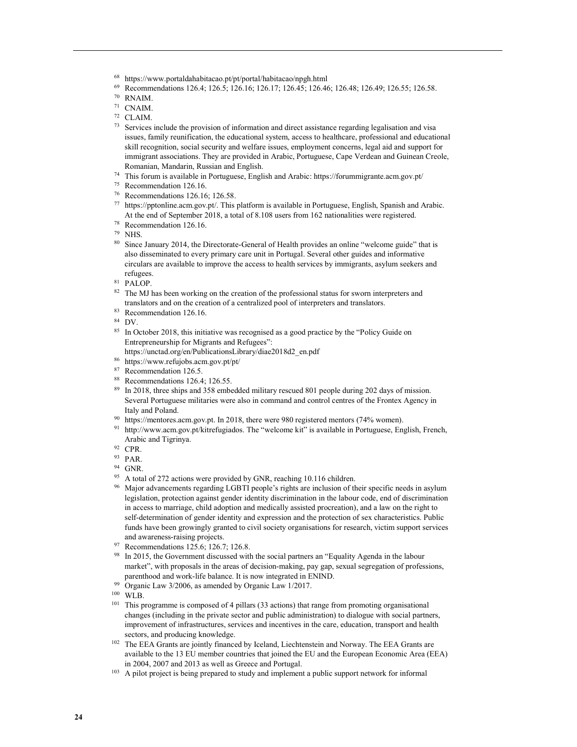- <sup>69</sup> Recommendations 126.4; 126.5; 126.16; 126.17; 126.45; 126.46; 126.48; 126.49; 126.55; 126.58.
- <sup>70</sup> RNAIM.
- <sup>71</sup> CNAIM.
- <sup>72</sup> CLAIM.
- <sup>73</sup> Services include the provision of information and direct assistance regarding legalisation and visa issues, family reunification, the educational system, access to healthcare, professional and educational skill recognition, social security and welfare issues, employment concerns, legal aid and support for immigrant associations. They are provided in Arabic, Portuguese, Cape Verdean and Guinean Creole, Romanian, Mandarin, Russian and English.
- <sup>74</sup> This forum is available in Portuguese, English and Arabic: https://forummigrante.acm.gov.pt/
- <sup>75</sup> Recommendation 126.16.
- <sup>76</sup> Recommendations 126.16; 126.58.
- <sup>77</sup> https://pptonline.acm.gov.pt/. This platform is available in Portuguese, English, Spanish and Arabic. At the end of September 2018, a total of 8.108 users from 162 nationalities were registered.
- <sup>78</sup> Recommendation 126.16.
- <sup>79</sup> NHS.
- <sup>80</sup> Since January 2014, the Directorate-General of Health provides an online "welcome guide" that is also disseminated to every primary care unit in Portugal. Several other guides and informative circulars are available to improve the access to health services by immigrants, asylum seekers and refugees.
- <sup>81</sup> PALOP.
- <sup>82</sup> The MJ has been working on the creation of the professional status for sworn interpreters and translators and on the creation of a centralized pool of interpreters and translators.
- <sup>83</sup> Recommendation 126.16.
- <sup>84</sup> DV.
- <sup>85</sup> In October 2018, this initiative was recognised as a good practice by the "Policy Guide on Entrepreneurship for Migrants and Refugees":
	- https://unctad.org/en/PublicationsLibrary/diae2018d2\_en.pdf
- <sup>86</sup> https://www.refujobs.acm.gov.pt/pt/
- 87 Recommendation 126.5.
- <sup>88</sup> Recommendations 126.4; 126.55.
- <sup>89</sup> In 2018, three ships and 358 embedded military rescued 801 people during 202 days of mission. Several Portuguese militaries were also in command and control centres of the Frontex Agency in Italy and Poland.
- <sup>90</sup> https://mentores.acm.gov.pt. In 2018, there were 980 registered mentors (74% women).
- <sup>91</sup> http://www.acm.gov.pt/kitrefugiados. The "welcome kit" is available in Portuguese, English, French, Arabic and Tigrinya.
- <sup>92</sup> CPR.
- <sup>93</sup> PAR.
- <sup>94</sup> GNR.
- <sup>95</sup> A total of 272 actions were provided by GNR, reaching 10.116 children.
- <sup>96</sup> Major advancements regarding LGBTI people's rights are inclusion of their specific needs in asylum legislation, protection against gender identity discrimination in the labour code, end of discrimination in access to marriage, child adoption and medically assisted procreation), and a law on the right to self-determination of gender identity and expression and the protection of sex characteristics. Public funds have been growingly granted to civil society organisations for research, victim support services and awareness-raising projects.
- <sup>97</sup> Recommendations 125.6; 126.7; 126.8.
- <sup>98</sup> In 2015, the Government discussed with the social partners an "Equality Agenda in the labour market", with proposals in the areas of decision-making, pay gap, sexual segregation of professions, parenthood and work-life balance. It is now integrated in ENIND.
- <sup>99</sup> Organic Law 3/2006, as amended by Organic Law 1/2017.
- <sup>100</sup> WLB.
- <sup>101</sup> This programme is composed of 4 pillars (33 actions) that range from promoting organisational changes (including in the private sector and public administration) to dialogue with social partners, improvement of infrastructures, services and incentives in the care, education, transport and health sectors, and producing knowledge.
- <sup>102</sup> The EEA Grants are jointly financed by Iceland, Liechtenstein and Norway. The EEA Grants are available to the 13 EU member countries that joined the EU and the European Economic Area (EEA) in 2004, 2007 and 2013 as well as Greece and Portugal.
- <sup>103</sup> A pilot project is being prepared to study and implement a public support network for informal

<sup>68</sup> https://www.portaldahabitacao.pt/pt/portal/habitacao/npgh.html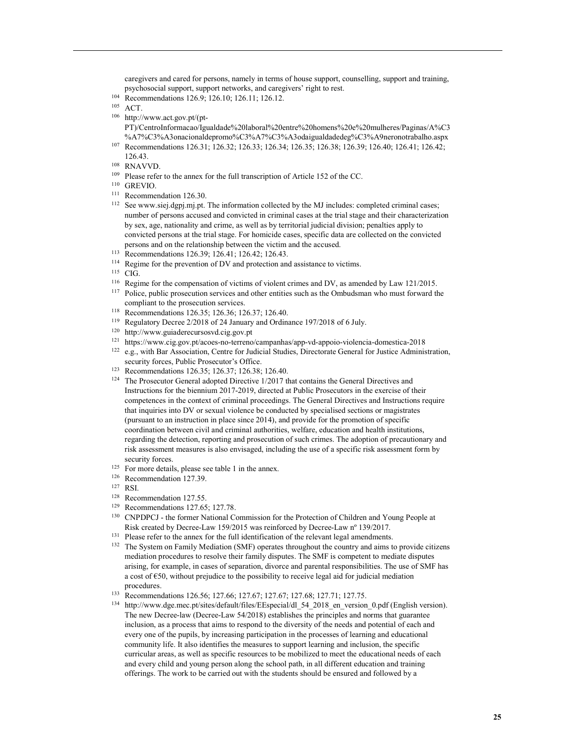caregivers and cared for persons, namely in terms of house support, counselling, support and training, psychosocial support, support networks, and caregivers' right to rest.

- <sup>104</sup> Recommendations 126.9; 126.10; 126.11; 126.12.
- $105$  ACT.
- 106 http://www.act.gov.pt/(pt-
- PT)/CentroInformacao/Igualdade%20laboral%20entre%20homens%20e%20mulheres/Paginas/A%C3 %A7%C3%A3onacionaldepromo%C3%A7%C3%A3odaigualdadedeg%C3%A9neronotrabalho.aspx
- <sup>107</sup> Recommendations 126.31; 126.32; 126.33; 126.34; 126.35; 126.38; 126.39; 126.40; 126.41; 126.42; 126.43.
- <sup>108</sup> RNAVVD.
- <sup>109</sup> Please refer to the annex for the full transcription of Article 152 of the CC.
- $^{110}\,$  GREVIO.
- <sup>111</sup> Recommendation 126.30.
- <sup>112</sup> See www.siej.dgpj.mj.pt. The information collected by the MJ includes: completed criminal cases; number of persons accused and convicted in criminal cases at the trial stage and their characterization by sex, age, nationality and crime, as well as by territorial judicial division; penalties apply to convicted persons at the trial stage. For homicide cases, specific data are collected on the convicted persons and on the relationship between the victim and the accused.
- <sup>113</sup> Recommendations 126.39; 126.41; 126.42; 126.43.
- <sup>114</sup> Regime for the prevention of DV and protection and assistance to victims.
- <sup>115</sup> CIG.
- <sup>116</sup> Regime for the compensation of victims of violent crimes and DV, as amended by Law 121/2015.
- <sup>117</sup> Police, public prosecution services and other entities such as the Ombudsman who must forward the compliant to the prosecution services.
- <sup>118</sup> Recommendations 126.35; 126.36; 126.37; 126.40.
- <sup>119</sup> Regulatory Decree 2/2018 of 24 January and Ordinance 197/2018 of 6 July.
- <sup>120</sup> http://www.guiaderecursosvd.cig.gov.pt
- <sup>121</sup> https://www.cig.gov.pt/acoes-no-terreno/campanhas/app-vd-appoio-violencia-domestica-2018
- <sup>122</sup> e.g., with Bar Association, Centre for Judicial Studies, Directorate General for Justice Administration, security forces, Public Prosecutor's Office.
- <sup>123</sup> Recommendations 126.35; 126.37; 126.38; 126.40.
- <sup>124</sup> The Prosecutor General adopted Directive  $1/2017$  that contains the General Directives and Instructions for the biennium 2017-2019, directed at Public Prosecutors in the exercise of their competences in the context of criminal proceedings. The General Directives and Instructions require that inquiries into DV or sexual violence be conducted by specialised sections or magistrates (pursuant to an instruction in place since 2014), and provide for the promotion of specific coordination between civil and criminal authorities, welfare, education and health institutions, regarding the detection, reporting and prosecution of such crimes. The adoption of precautionary and risk assessment measures is also envisaged, including the use of a specific risk assessment form by security forces.
- <sup>125</sup> For more details, please see table 1 in the annex.<br><sup>126</sup> Peasumendation <sup>127, 20</sup>
- Recommendation 127.39.
- <sup>127</sup> RSI.
- <sup>128</sup> Recommendation 127.55.
- <sup>129</sup> Recommendations 127.65; 127.78.
- <sup>130</sup> CNPDPCJ the former National Commission for the Protection of Children and Young People at Risk created by Decree-Law 159/2015 was reinforced by Decree-Law nº 139/2017.
- <sup>131</sup> Please refer to the annex for the full identification of the relevant legal amendments.
- <sup>132</sup> The System on Family Mediation (SMF) operates throughout the country and aims to provide citizens mediation procedures to resolve their family disputes. The SMF is competent to mediate disputes arising, for example, in cases of separation, divorce and parental responsibilities. The use of SMF has a cost of €50, without prejudice to the possibility to receive legal aid for judicial mediation procedures.

<sup>133</sup> Recommendations 126.56; 127.66; 127.67; 127.67; 127.68; 127.71; 127.75.

<sup>134</sup> http://www.dge.mec.pt/sites/default/files/EEspecial/dl 54 2018 en version 0.pdf (English version). The new Decree-law (Decree-Law 54/2018) establishes the principles and norms that guarantee inclusion, as a process that aims to respond to the diversity of the needs and potential of each and every one of the pupils, by increasing participation in the processes of learning and educational community life. It also identifies the measures to support learning and inclusion, the specific curricular areas, as well as specific resources to be mobilized to meet the educational needs of each and every child and young person along the school path, in all different education and training offerings. The work to be carried out with the students should be ensured and followed by a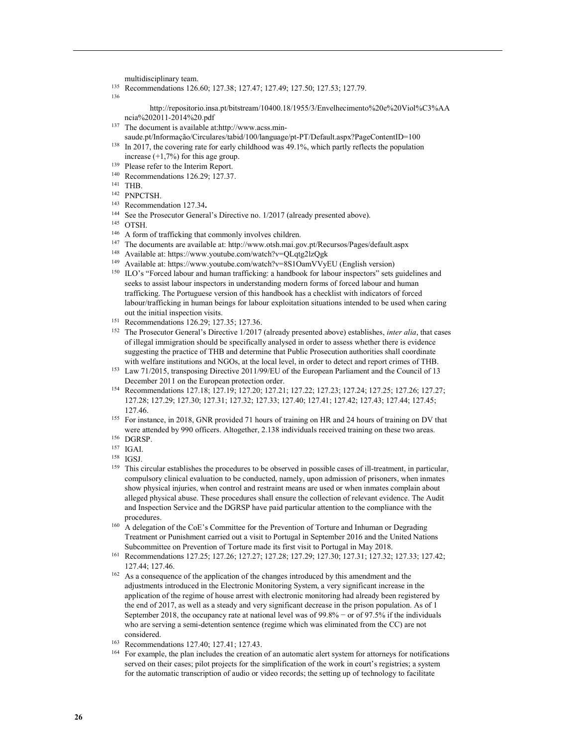multidisciplinary team.

- <sup>135</sup> Recommendations 126.60; 127.38; 127.47; 127.49; 127.50; 127.53; 127.79.
- 136

 http://repositorio.insa.pt/bitstream/10400.18/1955/3/Envelhecimento%20e%20Viol%C3%AA ncia%202011-2014%20.pdf

- 137 The document is available at:http://www.acss.min-
- saude.pt/Informação/Circulares/tabid/100/language/pt-PT/Default.aspx?PageContentID=100
- <sup>138</sup> In 2017, the covering rate for early childhood was 49.1%, which partly reflects the population increase  $(+1,7%)$  for this age group.
- <sup>139</sup> Please refer to the Interim Report.
- <sup>140</sup> Recommendations 126.29; 127.37.
- <sup>141</sup> THB.
- <sup>142</sup> PNPCTSH.
- <sup>143</sup> Recommendation 127.34.
- <sup>144</sup> See the Prosecutor General's Directive no. 1/2017 (already presented above).
- <sup>145</sup> OTSH.
- <sup>146</sup> A form of trafficking that commonly involves children.
- <sup>147</sup> The documents are available at: http://www.otsh.mai.gov.pt/Recursos/Pages/default.aspx
- <sup>148</sup> Available at: https://www.youtube.com/watch?v=QLqtg2lzQgk
- <sup>149</sup> Available at: https://www.youtube.com/watch?v=8S1OamVVyEU (English version)
- <sup>150</sup> ILO's "Forced labour and human trafficking: a handbook for labour inspectors" sets guidelines and seeks to assist labour inspectors in understanding modern forms of forced labour and human trafficking. The Portuguese version of this handbook has a checklist with indicators of forced labour/trafficking in human beings for labour exploitation situations intended to be used when caring out the initial inspection visits.
- <sup>151</sup> Recommendations 126.29; 127.35; 127.36.
- <sup>152</sup> The Prosecutor General's Directive 1/2017 (already presented above) establishes, *inter alia*, that cases of illegal immigration should be specifically analysed in order to assess whether there is evidence suggesting the practice of THB and determine that Public Prosecution authorities shall coordinate with welfare institutions and NGOs, at the local level, in order to detect and report crimes of THB.
- <sup>153</sup> Law 71/2015, transposing Directive 2011/99/EU of the European Parliament and the Council of 13 December 2011 on the European protection order.
- <sup>154</sup> Recommendations 127.18; 127.19; 127.20; 127.21; 127.22; 127.23; 127.24; 127.25; 127.26; 127.27; 127.28; 127.29; 127.30; 127.31; 127.32; 127.33; 127.40; 127.41; 127.42; 127.43; 127.44; 127.45; 127.46.
- <sup>155</sup> For instance, in 2018, GNR provided 71 hours of training on HR and 24 hours of training on DV that were attended by 990 officers. Altogether, 2.138 individuals received training on these two areas.
- <sup>156</sup> DGRSP.
- <sup>157</sup> IGAI.
- <sup>158</sup> IGSJ.
- <sup>159</sup> This circular establishes the procedures to be observed in possible cases of ill-treatment, in particular, compulsory clinical evaluation to be conducted, namely, upon admission of prisoners, when inmates show physical injuries, when control and restraint means are used or when inmates complain about alleged physical abuse. These procedures shall ensure the collection of relevant evidence. The Audit and Inspection Service and the DGRSP have paid particular attention to the compliance with the procedures.
- <sup>160</sup> A delegation of the CoE's Committee for the Prevention of Torture and Inhuman or Degrading Treatment or Punishment carried out a visit to Portugal in September 2016 and the United Nations Subcommittee on Prevention of Torture made its first visit to Portugal in May 2018.
- <sup>161</sup> Recommendations 127.25; 127.26; 127.27; 127.28; 127.29; 127.30; 127.31; 127.32; 127.33; 127.42; 127.44; 127.46.
- <sup>162</sup> As a consequence of the application of the changes introduced by this amendment and the adjustments introduced in the Electronic Monitoring System, a very significant increase in the application of the regime of house arrest with electronic monitoring had already been registered by the end of 2017, as well as a steady and very significant decrease in the prison population. As of 1 September 2018, the occupancy rate at national level was of 99.8% − or of 97.5% if the individuals who are serving a semi-detention sentence (regime which was eliminated from the CC) are not considered.
- <sup>163</sup> Recommendations 127.40; 127.41; 127.43.
- <sup>164</sup> For example, the plan includes the creation of an automatic alert system for attorneys for notifications served on their cases; pilot projects for the simplification of the work in court's registries; a system for the automatic transcription of audio or video records; the setting up of technology to facilitate